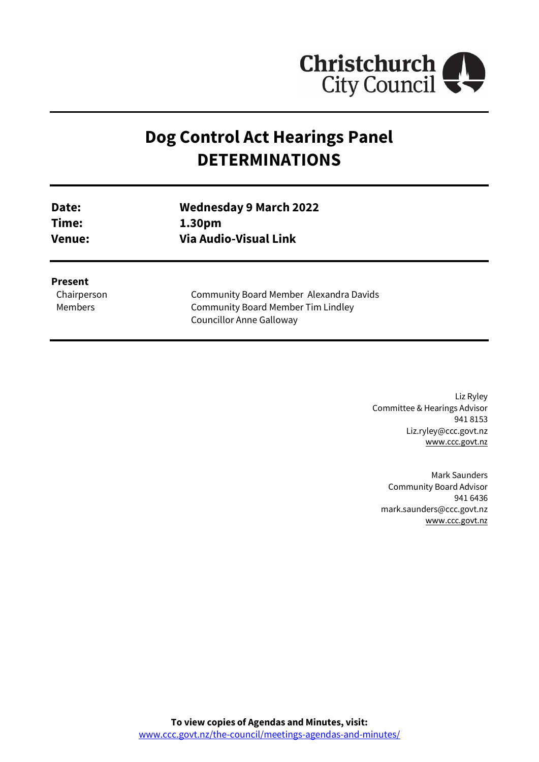

# **Dog Control Act Hearings Panel DETERMINATIONS**

| Date:         | <b>Wednesday 9 March 2022</b> |  |  |
|---------------|-------------------------------|--|--|
| Time:         | 1.30pm                        |  |  |
| <b>Venue:</b> | Via Audio-Visual Link         |  |  |
|               |                               |  |  |

#### **Present**

Chairperson Members

Community Board Member Alexandra Davids Community Board Member Tim Lindley Councillor Anne Galloway

> Liz Ryley Committee & Hearings Advisor 941 8153 Liz.ryley@ccc.govt.nz [www.ccc.govt.nz](http://www.ccc.govt.nz/)

Mark Saunders Community Board Advisor 941 6436 mark.saunders@ccc.govt.nz [www.ccc.govt.nz](http://www.ccc.govt.nz/)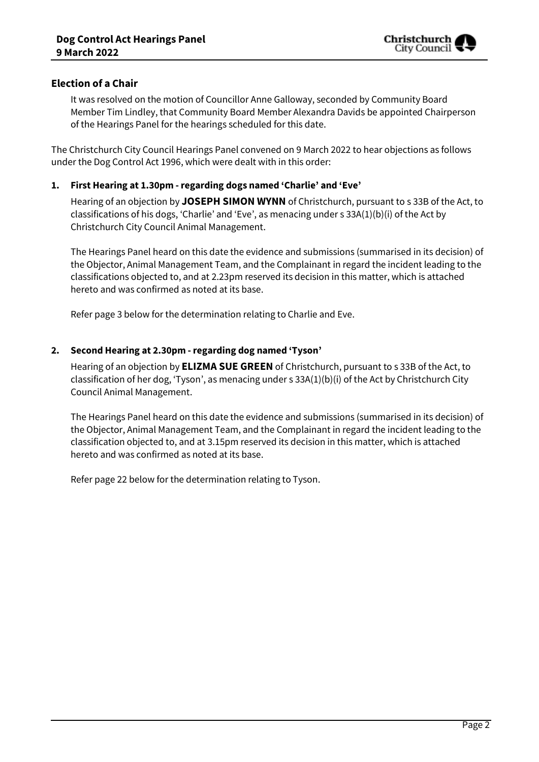

## **Election of a Chair**

It was resolved on the motion of Councillor Anne Galloway, seconded by Community Board Member Tim Lindley, that Community Board Member Alexandra Davids be appointed Chairperson of the Hearings Panel for the hearings scheduled for this date.

The Christchurch City Council Hearings Panel convened on 9 March 2022 to hear objections as follows under the Dog Control Act 1996, which were dealt with in this order:

#### **1. First Hearing at 1.30pm -regarding dogs named 'Charlie' and 'Eve'**

Hearing of an objection by **JOSEPH SIMON WYNN** of Christchurch, pursuant to s 33B of the Act, to classifications of his dogs, 'Charlie' and 'Eve', as menacing under s 33A(1)(b)(i) of the Act by Christchurch City Council Animal Management.

The Hearings Panel heard on this date the evidence and submissions (summarised in its decision) of the Objector, Animal Management Team, and the Complainant in regard the incident leading to the classifications objected to, and at 2.23pm reserved its decision in this matter, which is attached hereto and was confirmed as noted at its base.

Refer page 3 below for the determination relating to Charlie and Eve.

#### **2. Second Hearing at 2.30pm -regarding dog named 'Tyson'**

Hearing of an objection by **ELIZMA SUE GREEN** of Christchurch, pursuant to s 33B of the Act, to classification of her dog, 'Tyson', as menacing under s 33A(1)(b)(i) of the Act by Christchurch City Council Animal Management.

The Hearings Panel heard on this date the evidence and submissions (summarised in its decision) of the Objector, Animal Management Team, and the Complainant in regard the incident leading to the classification objected to, and at 3.15pm reserved its decision in this matter, which is attached hereto and was confirmed as noted at its base.

Refer page 22 below for the determination relating to Tyson.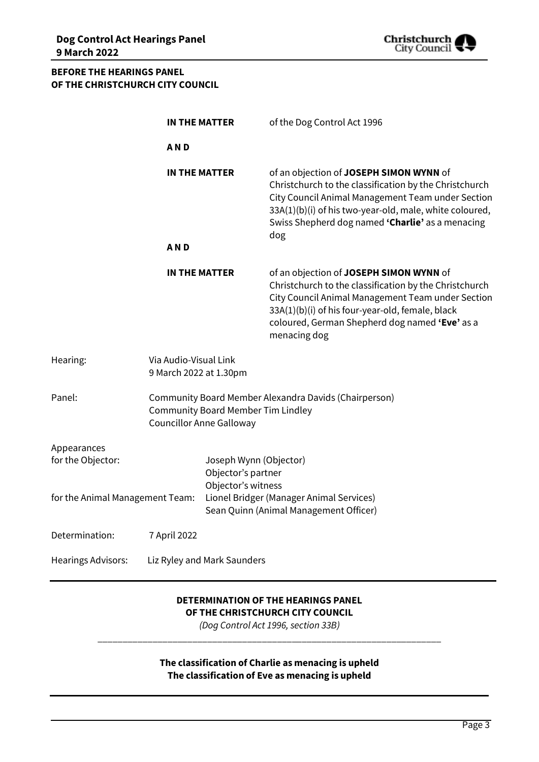

## **BEFORE THE HEARINGS PANEL OF THE CHRISTCHURCH CITY COUNCIL**

|                                 | <b>IN THE MATTER</b>                                                                                                                  |                                                                                    | of the Dog Control Act 1996                                                                                                                                                                                                                                                  |
|---------------------------------|---------------------------------------------------------------------------------------------------------------------------------------|------------------------------------------------------------------------------------|------------------------------------------------------------------------------------------------------------------------------------------------------------------------------------------------------------------------------------------------------------------------------|
|                                 | <b>AND</b>                                                                                                                            |                                                                                    |                                                                                                                                                                                                                                                                              |
|                                 | <b>IN THE MATTER</b>                                                                                                                  |                                                                                    | of an objection of JOSEPH SIMON WYNN of<br>Christchurch to the classification by the Christchurch<br>City Council Animal Management Team under Section<br>33A(1)(b)(i) of his two-year-old, male, white coloured,<br>Swiss Shepherd dog named 'Charlie' as a menacing<br>dog |
|                                 | <b>AND</b>                                                                                                                            |                                                                                    |                                                                                                                                                                                                                                                                              |
|                                 | IN THE MATTER                                                                                                                         |                                                                                    | of an objection of JOSEPH SIMON WYNN of<br>Christchurch to the classification by the Christchurch<br>City Council Animal Management Team under Section<br>33A(1)(b)(i) of his four-year-old, female, black<br>coloured, German Shepherd dog named 'Eve' as a<br>menacing dog |
| Hearing:                        | Via Audio-Visual Link<br>9 March 2022 at 1.30pm                                                                                       |                                                                                    |                                                                                                                                                                                                                                                                              |
| Panel:                          | Community Board Member Alexandra Davids (Chairperson)<br><b>Community Board Member Tim Lindley</b><br><b>Councillor Anne Galloway</b> |                                                                                    |                                                                                                                                                                                                                                                                              |
| Appearances                     |                                                                                                                                       |                                                                                    |                                                                                                                                                                                                                                                                              |
| for the Objector:               |                                                                                                                                       | Joseph Wynn (Objector)<br>Objector's partner<br>Objector's witness                 |                                                                                                                                                                                                                                                                              |
| for the Animal Management Team: |                                                                                                                                       | Lionel Bridger (Manager Animal Services)<br>Sean Quinn (Animal Management Officer) |                                                                                                                                                                                                                                                                              |
| Determination:                  | 7 April 2022                                                                                                                          |                                                                                    |                                                                                                                                                                                                                                                                              |
| <b>Hearings Advisors:</b>       |                                                                                                                                       | Liz Ryley and Mark Saunders                                                        |                                                                                                                                                                                                                                                                              |

## **DETERMINATION OF THE HEARINGS PANEL OF THE CHRISTCHURCH CITY COUNCIL**

*(Dog Control Act 1996, section 33B)* \_\_\_\_\_\_\_\_\_\_\_\_\_\_\_\_\_\_\_\_\_\_\_\_\_\_\_\_\_\_\_\_\_\_\_\_\_\_\_\_\_\_\_\_\_\_\_\_\_\_\_\_\_\_\_\_\_\_\_\_\_\_\_\_\_\_\_\_\_

## **The classification of Charlie as menacing is upheld The classification of Eve as menacing is upheld**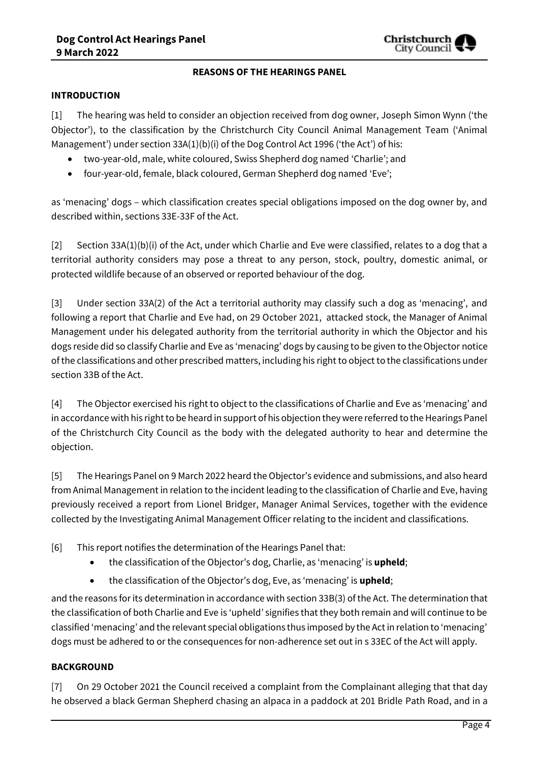#### **REASONS OF THE HEARINGS PANEL**

#### **INTRODUCTION**

[1] The hearing was held to consider an objection received from dog owner, Joseph Simon Wynn ('the Objector'), to the classification by the Christchurch City Council Animal Management Team ('Animal Management') under section 33A(1)(b)(i) of the Dog Control Act 1996 ('the Act') of his:

- two-year-old, male, white coloured, Swiss Shepherd dog named 'Charlie'; and
- four-year-old, female, black coloured, German Shepherd dog named 'Eve';

as 'menacing' dogs – which classification creates special obligations imposed on the dog owner by, and described within, sections 33E-33F of the Act.

[2] Section 33A(1)(b)(i) of the Act, under which Charlie and Eve were classified, relates to a dog that a territorial authority considers may pose a threat to any person, stock, poultry, domestic animal, or protected wildlife because of an observed or reported behaviour of the dog.

[3] Under section 33A(2) of the Act a territorial authority may classify such a dog as 'menacing', and following a report that Charlie and Eve had, on 29 October 2021, attacked stock, the Manager of Animal Management under his delegated authority from the territorial authority in which the Objector and his dogs reside did so classify Charlie and Eve as 'menacing' dogs by causing to be given to the Objector notice of the classifications and other prescribed matters, including his right to object to the classifications under section 33B of the Act.

[4] The Objector exercised his right to object to the classifications of Charlie and Eve as 'menacing' and in accordance with his right to be heard in support of his objection they were referred to the Hearings Panel of the Christchurch City Council as the body with the delegated authority to hear and determine the objection.

[5] The Hearings Panel on 9 March 2022 heard the Objector's evidence and submissions, and also heard from Animal Management in relation to the incident leading to the classification of Charlie and Eve, having previously received a report from Lionel Bridger, Manager Animal Services, together with the evidence collected by the Investigating Animal Management Officer relating to the incident and classifications.

[6] This report notifies the determination of the Hearings Panel that:

- the classification of the Objector's dog, Charlie, as 'menacing' is **upheld**;
- the classification of the Objector's dog, Eve, as 'menacing' is **upheld**;

and the reasons for its determination in accordance with section 33B(3) of the Act. The determination that the classification of both Charlie and Eve is 'upheld' signifies that they both remain and will continue to be classified 'menacing' and the relevant special obligations thus imposed by the Act in relation to 'menacing' dogs must be adhered to or the consequences for non-adherence set out in s 33EC of the Act will apply.

#### **BACKGROUND**

[7] On 29 October 2021 the Council received a complaint from the Complainant alleging that that day he observed a black German Shepherd chasing an alpaca in a paddock at 201 Bridle Path Road, and in a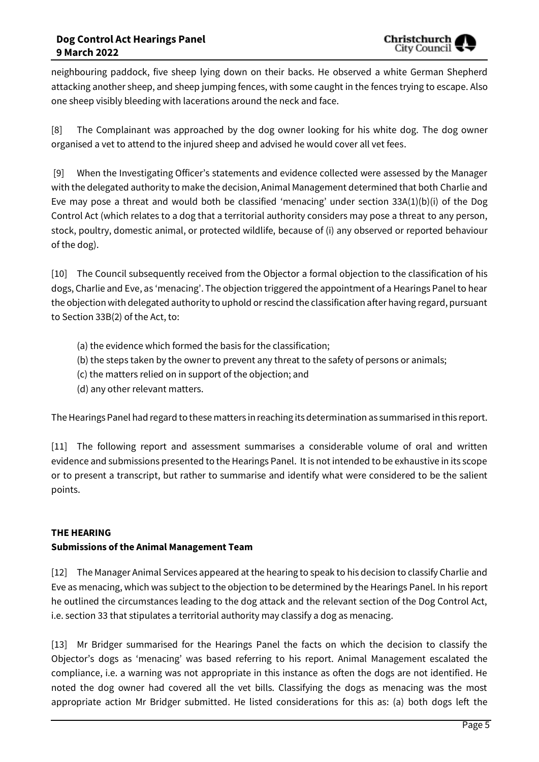neighbouring paddock, five sheep lying down on their backs. He observed a white German Shepherd attacking another sheep, and sheep jumping fences, with some caught in the fences trying to escape. Also one sheep visibly bleeding with lacerations around the neck and face.

[8] The Complainant was approached by the dog owner looking for his white dog. The dog owner organised a vet to attend to the injured sheep and advised he would cover all vet fees.

[9] When the Investigating Officer's statements and evidence collected were assessed by the Manager with the delegated authority to make the decision, Animal Management determined that both Charlie and Eve may pose a threat and would both be classified 'menacing' under section 33A(1)(b)(i) of the Dog Control Act (which relates to a dog that a territorial authority considers may pose a threat to any person, stock, poultry, domestic animal, or protected wildlife, because of (i) any observed or reported behaviour of the dog).

[10] The Council subsequently received from the Objector a formal objection to the classification of his dogs, Charlie and Eve, as 'menacing'. The objection triggered the appointment of a Hearings Panel to hear the objection with delegated authority to uphold or rescind the classification after having regard, pursuant to Section 33B(2) of the Act, to:

- (a) the evidence which formed the basis for the classification;
- (b) the steps taken by the owner to prevent any threat to the safety of persons or animals;
- (c) the matters relied on in support of the objection; and
- (d) any other relevant matters.

The Hearings Panel had regard to these matters in reaching its determination as summarised in this report.

[11] The following report and assessment summarises a considerable volume of oral and written evidence and submissions presented to the Hearings Panel. It is not intended to be exhaustive in its scope or to present a transcript, but rather to summarise and identify what were considered to be the salient points.

## **THE HEARING**

## **Submissions of the Animal Management Team**

[12] The Manager Animal Services appeared at the hearing to speak to his decision to classify Charlie and Eve as menacing, which was subject to the objection to be determined by the Hearings Panel. In his report he outlined the circumstances leading to the dog attack and the relevant section of the Dog Control Act, i.e. section 33 that stipulates a territorial authority may classify a dog as menacing.

[13] Mr Bridger summarised for the Hearings Panel the facts on which the decision to classify the Objector's dogs as 'menacing' was based referring to his report. Animal Management escalated the compliance, i.e. a warning was not appropriate in this instance as often the dogs are not identified. He noted the dog owner had covered all the vet bills. Classifying the dogs as menacing was the most appropriate action Mr Bridger submitted. He listed considerations for this as: (a) both dogs left the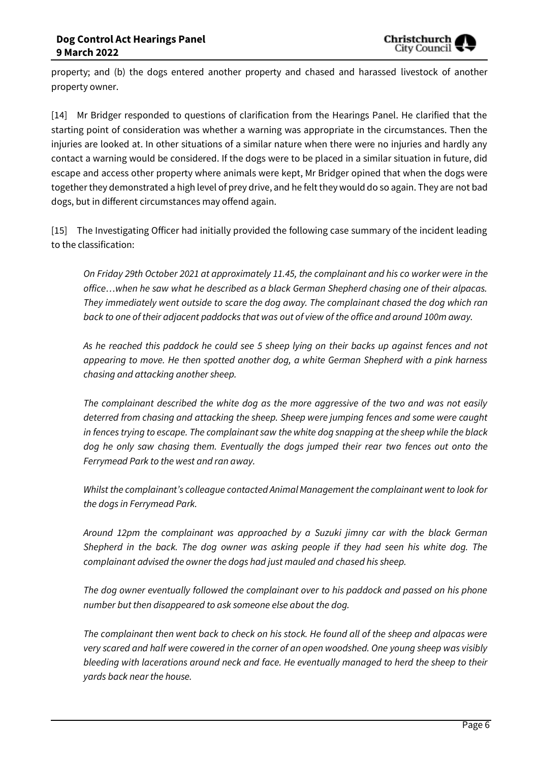property; and (b) the dogs entered another property and chased and harassed livestock of another property owner.

[14] Mr Bridger responded to questions of clarification from the Hearings Panel. He clarified that the starting point of consideration was whether a warning was appropriate in the circumstances. Then the injuries are looked at. In other situations of a similar nature when there were no injuries and hardly any contact a warning would be considered. If the dogs were to be placed in a similar situation in future, did escape and access other property where animals were kept, Mr Bridger opined that when the dogs were together they demonstrated a high level of prey drive, and he felt they would do so again. They are not bad dogs, but in different circumstances may offend again.

[15] The Investigating Officer had initially provided the following case summary of the incident leading to the classification:

*On Friday 29th October 2021 at approximately 11.45, the complainant and his co worker were in the office…when he saw what he described as a black German Shepherd chasing one of their alpacas. They immediately went outside to scare the dog away. The complainant chased the dog which ran back to one of their adjacent paddocks that was out of view of the office and around 100m away.*

*As he reached this paddock he could see 5 sheep lying on their backs up against fences and not appearing to move. He then spotted another dog, a white German Shepherd with a pink harness chasing and attacking another sheep.*

*The complainant described the white dog as the more aggressive of the two and was not easily deterred from chasing and attacking the sheep. Sheep were jumping fences and some were caught in fences trying to escape. The complainant saw the white dog snapping at the sheep while the black dog he only saw chasing them. Eventually the dogs jumped their rear two fences out onto the Ferrymead Park to the west and ran away.*

*Whilst the complainant's colleague contacted Animal Management the complainant went to look for the dogs in Ferrymead Park.*

*Around 12pm the complainant was approached by a Suzuki jimny car with the black German Shepherd in the back. The dog owner was asking people if they had seen his white dog. The complainant advised the owner the dogs had just mauled and chased his sheep.*

*The dog owner eventually followed the complainant over to his paddock and passed on his phone number but then disappeared to ask someone else about the dog.*

*The complainant then went back to check on his stock. He found all of the sheep and alpacas were very scared and half were cowered in the corner of an open woodshed. One young sheep was visibly bleeding with lacerations around neck and face. He eventually managed to herd the sheep to their yards back near the house.*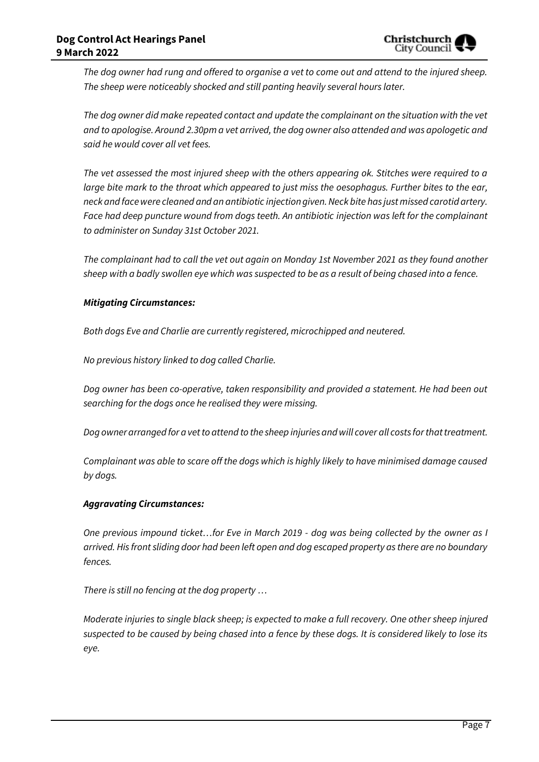*The dog owner had rung and offered to organise a vet to come out and attend to the injured sheep. The sheep were noticeably shocked and still panting heavily several hours later.*

*The dog owner did make repeated contact and update the complainant on the situation with the vet and to apologise. Around 2.30pm a vet arrived, the dog owner also attended and was apologetic and said he would cover all vet fees.*

*The vet assessed the most injured sheep with the others appearing ok. Stitches were required to a large bite mark to the throat which appeared to just miss the oesophagus. Further bites to the ear, neck and face were cleaned and an antibiotic injection given. Neck bite has just missed carotid artery. Face had deep puncture wound from dogs teeth. An antibiotic injection was left for the complainant to administer on Sunday 31st October 2021.*

*The complainant had to call the vet out again on Monday 1st November 2021 as they found another sheep with a badly swollen eye which was suspected to be as a result of being chased into a fence.*

## *Mitigating Circumstances:*

*Both dogs Eve and Charlie are currently registered, microchipped and neutered.*

*No previous history linked to dog called Charlie.*

*Dog owner has been co-operative, taken responsibility and provided a statement. He had been out searching for the dogs once he realised they were missing.*

*Dog owner arranged for a vet to attend to the sheep injuries and will cover all costs for that treatment.*

*Complainant was able to scare off the dogs which is highly likely to have minimised damage caused by dogs.*

## *Aggravating Circumstances:*

*One previous impound ticket…for Eve in March 2019 - dog was being collected by the owner as I arrived. His front sliding door had been left open and dog escaped property as there are no boundary fences.*

*There is still no fencing at the dog property …*

*Moderate injuries to single black sheep; is expected to make a full recovery. One other sheep injured suspected to be caused by being chased into a fence by these dogs. It is considered likely to lose its eye.*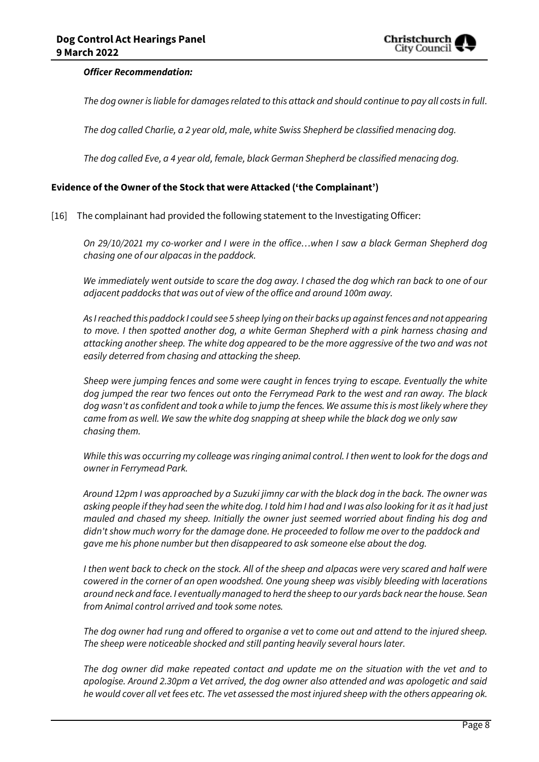#### *Officer Recommendation:*

*The dog owner is liable for damages related to this attack and should continue to pay all costs in full.*

*The dog called Charlie, a 2 year old, male, white Swiss Shepherd be classified menacing dog.*

*The dog called Eve, a 4 year old, female, black German Shepherd be classified menacing dog.*

## **Evidence of the Owner of the Stock that were Attacked ('the Complainant')**

[16] The complainant had provided the following statement to the Investigating Officer:

*On 29/10/2021 my co-worker and I were in the office…when I saw a black German Shepherd dog chasing one of our alpacas in the paddock.*

*We immediately went outside to scare the dog away. I chased the dog which ran back to one of our adjacent paddocks that was out of view of the office and around 100m away.*

*As I reached this paddock I could see 5 sheep lying on their backs up against fences and not appearing to move. I then spotted another dog, a white German Shepherd with a pink harness chasing and attacking another sheep. The white dog appeared to be the more aggressive of the two and was not easily deterred from chasing and attacking the sheep.*

*Sheep were jumping fences and some were caught in fences trying to escape. Eventually the white dog jumped the rear two fences out onto the Ferrymead Park to the west and ran away. The black dog wasn't as confident and took a while to jump the fences. We assume this is most likely where they came from as well. We saw the white dog snapping at sheep while the black dog we only saw chasing them.*

*While this was occurring my colleage was ringing animal control. I then went to look for the dogs and owner in Ferrymead Park.*

*Around 12pm I was approached by a Suzuki jimny car with the black dog in the back. The owner was asking people if they had seen the white dog. I told him I had and I was also looking for it as it had just mauled and chased my sheep. Initially the owner just seemed worried about finding his dog and didn't show much worry for the damage done. He proceeded to follow me over to the paddock and gave me his phone number but then disappeared to ask someone else about the dog.*

*I then went back to check on the stock. All of the sheep and alpacas were very scared and half were cowered in the corner of an open woodshed. One young sheep was visibly bleeding with lacerations around neck and face. I eventually managed to herd the sheep to our yards back near the house. Sean from Animal control arrived and took some notes.*

*The dog owner had rung and offered to organise a vet to come out and attend to the injured sheep. The sheep were noticeable shocked and still panting heavily several hours later.*

*The dog owner did make repeated contact and update me on the situation with the vet and to apologise. Around 2.30pm a Vet arrived, the dog owner also attended and was apologetic and said he would cover all vet fees etc. The vet assessed the most injured sheep with the others appearing ok.*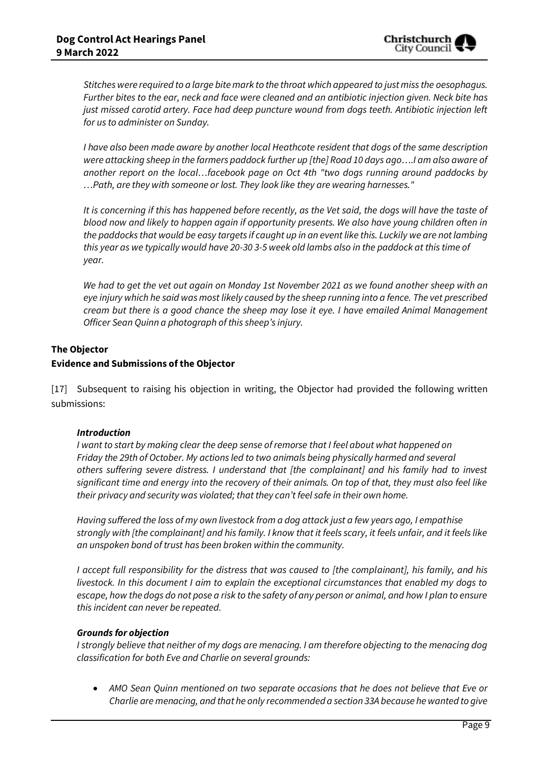*Stitches were required to a large bite mark to the throat which appeared to just miss the oesophagus. Further bites to the ear, neck and face were cleaned and an antibiotic injection given. Neck bite has just missed carotid artery. Face had deep puncture wound from dogs teeth. Antibiotic injection left for us to administer on Sunday.*

*I have also been made aware by another local Heathcote resident that dogs of the same description were attacking sheep in the farmers paddock further up [the] Road 10 days ago….I am also aware of another report on the local…facebook page on Oct 4th "two dogs running around paddocks by …Path, are they with someone or lost. They look like they are wearing harnesses."*

*It is concerning if this has happened before recently, as the Vet said, the dogs will have the taste of blood now and likely to happen again if opportunity presents. We also have young children often in the paddocks that would be easy targets if caught up in an event like this. Luckily we are not lambing this year as we typically would have 20-30 3-5 week old lambs also in the paddock at this time of year.*

*We had to get the vet out again on Monday 1st November 2021 as we found another sheep with an eye injury which he said was most likely caused by the sheep running into a fence. The vet prescribed cream but there is a good chance the sheep may lose it eye. I have emailed Animal Management Officer Sean Quinn a photograph of this sheep's injury.*

#### **The Objector**

## **Evidence and Submissions of the Objector**

[17] Subsequent to raising his objection in writing, the Objector had provided the following written submissions:

#### *Introduction*

*I want to start by making clear the deep sense of remorse that I feel about what happened on Friday the 29th of October. My actions led to two animals being physically harmed and several others suffering severe distress. I understand that [the complainant] and his family had to invest significant time and energy into the recovery of their animals. On top of that, they must also feel like their privacy and security was violated; that they can't feel safe in their own home.*

*Having suffered the loss of my own livestock from a dog attack just a few years ago, I empathise strongly with [the complainant] and his family. I know that it feels scary, it feels unfair, and it feels like an unspoken bond of trust has been broken within the community.*

*I accept full responsibility for the distress that was caused to [the complainant], his family, and his livestock. In this document I aim to explain the exceptional circumstances that enabled my dogs to escape, how the dogs do not pose a risk to the safety of any person or animal, and how I plan to ensure this incident can never be repeated.*

#### *Grounds for objection*

*I strongly believe that neither of my dogs are menacing. I am therefore objecting to the menacing dog classification for both Eve and Charlie on several grounds:*

 *AMO Sean Quinn mentioned on two separate occasions that he does not believe that Eve or Charlie are menacing, and that he only recommended a section 33A because he wanted to give*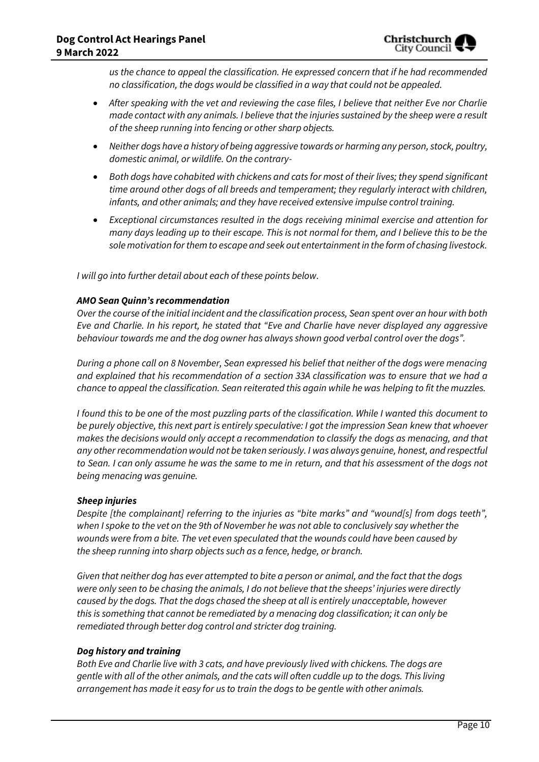*us the chance to appeal the classification. He expressed concern that if he had recommended no classification, the dogs would be classified in a way that could not be appealed.*

- *After speaking with the vet and reviewing the case files, I believe that neither Eve nor Charlie made contact with any animals. I believe that the injuries sustained by the sheep were a result of the sheep running into fencing or other sharp objects.*
- *Neither dogs have a history of being aggressive towards or harming any person, stock, poultry, domestic animal, or wildlife. On the contrary-*
- *Both dogs have cohabited with chickens and cats for most of their lives; they spend significant time around other dogs of all breeds and temperament; they regularly interact with children, infants, and other animals; and they have received extensive impulse control training.*
- *Exceptional circumstances resulted in the dogs receiving minimal exercise and attention for many days leading up to their escape. This is not normal for them, and I believe this to be the sole motivation for them to escape and seek out entertainment in the form of chasing livestock.*

*I will go into further detail about each of these points below.*

#### *AMO Sean Quinn's recommendation*

*Over the course of the initial incident and the classification process, Sean spent over an hour with both Eve and Charlie. In his report, he stated that "Eve and Charlie have never displayed any aggressive behaviour towards me and the dog owner has always shown good verbal control over the dogs".*

*During a phone call on 8 November, Sean expressed his belief that neither of the dogs were menacing and explained that his recommendation of a section 33A classification was to ensure that we had a chance to appeal the classification. Sean reiterated this again while he was helping to fit the muzzles.*

*I found this to be one of the most puzzling parts of the classification. While I wanted this document to be purely objective, this next part is entirely speculative: I got the impression Sean knew that whoever makes the decisions would only accept a recommendation to classify the dogs as menacing, and that any other recommendation would not be taken seriously. I was always genuine, honest, and respectful to Sean. I can only assume he was the same to me in return, and that his assessment of the dogs not being menacing was genuine.*

#### *Sheep injuries*

*Despite [the complainant] referring to the injuries as "bite marks" and "wound[s] from dogs teeth", when I spoke to the vet on the 9th of November he was not able to conclusively say whether the wounds were from a bite. The vet even speculated that the wounds could have been caused by the sheep running into sharp objects such as a fence, hedge, or branch.*

*Given that neither dog has ever attempted to bite a person or animal, and the fact that the dogs were only seen to be chasing the animals, I do not believe that the sheeps' injuries were directly caused by the dogs. That the dogs chased the sheep at all is entirely unacceptable, however this is something that cannot be remediated by a menacing dog classification; it can only be remediated through better dog control and stricter dog training.*

#### *Dog history and training*

*Both Eve and Charlie live with 3 cats, and have previously lived with chickens. The dogs are gentle with all of the other animals, and the cats will often cuddle up to the dogs. This living arrangement has made it easy for us to train the dogs to be gentle with other animals.*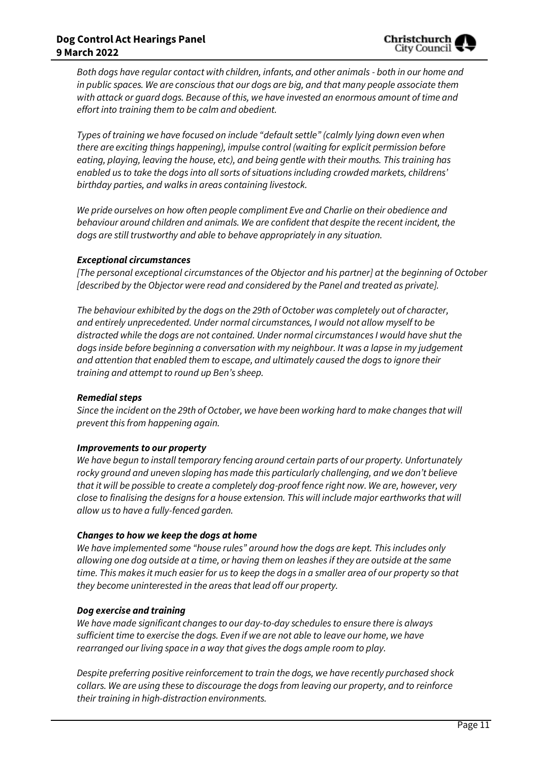*Both dogs have regular contact with children, infants, and other animals - both in our home and in public spaces. We are conscious that our dogs are big, and that many people associate them with attack or guard dogs. Because of this, we have invested an enormous amount of time and effort into training them to be calm and obedient.*

*Types of training we have focused on include "default settle" (calmly lying down even when there are exciting things happening), impulse control (waiting for explicit permission before eating, playing, leaving the house, etc), and being gentle with their mouths. This training has enabled us to take the dogs into all sorts of situations including crowded markets, childrens' birthday parties, and walks in areas containing livestock.*

*We pride ourselves on how often people compliment Eve and Charlie on their obedience and behaviour around children and animals. We are confident that despite the recent incident, the dogs are still trustworthy and able to behave appropriately in any situation.*

#### *Exceptional circumstances*

*[The personal exceptional circumstances of the Objector and his partner] at the beginning of October [described by the Objector were read and considered by the Panel and treated as private].*

*The behaviour exhibited by the dogs on the 29th of October was completely out of character, and entirely unprecedented. Under normal circumstances, I would not allow myself to be distracted while the dogs are not contained. Under normal circumstances I would have shut the dogs inside before beginning a conversation with my neighbour. It was a lapse in my judgement and attention that enabled them to escape, and ultimately caused the dogs to ignore their training and attempt to round up Ben's sheep.*

#### *Remedial steps*

*Since the incident on the 29th of October, we have been working hard to make changes that will prevent this from happening again.*

#### *Improvements to our property*

*We have begun to install temporary fencing around certain parts of our property. Unfortunately rocky ground and uneven sloping has made this particularly challenging, and we don't believe that it will be possible to create a completely dog-proof fence right now. We are, however, very close to finalising the designs for a house extension. This will include major earthworks that will allow us to have a fully-fenced garden.*

#### *Changes to how we keep the dogs at home*

*We have implemented some "house rules" around how the dogs are kept. This includes only allowing one dog outside at a time, or having them on leashes if they are outside at the same time. This makes it much easier for us to keep the dogs in a smaller area of our property so that they become uninterested in the areas that lead off our property.*

#### *Dog exercise and training*

*We have made significant changes to our day-to-day schedules to ensure there is always sufficient time to exercise the dogs. Even if we are not able to leave our home, we have rearranged our living space in a way that gives the dogs ample room to play.*

*Despite preferring positive reinforcement to train the dogs, we have recently purchased shock collars. We are using these to discourage the dogs from leaving our property, and to reinforce their training in high-distraction environments.*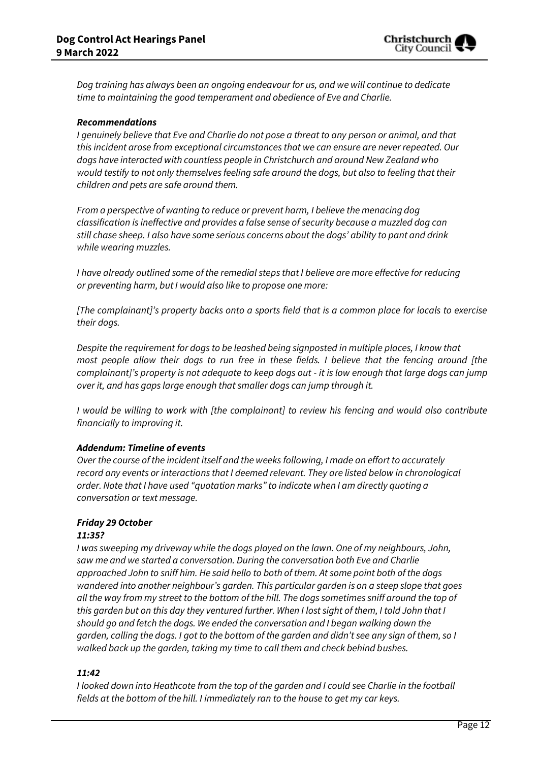*Dog training has always been an ongoing endeavour for us, and we will continue to dedicate time to maintaining the good temperament and obedience of Eve and Charlie.*

#### *Recommendations*

*I genuinely believe that Eve and Charlie do not pose a threat to any person or animal, and that this incident arose from exceptional circumstances that we can ensure are never repeated. Our dogs have interacted with countless people in Christchurch and around New Zealand who would testify to not only themselves feeling safe around the dogs, but also to feeling that their children and pets are safe around them.*

*From a perspective of wanting to reduce or prevent harm, I believe the menacing dog classification is ineffective and provides a false sense of security because a muzzled dog can still chase sheep. I also have some serious concerns about the dogs' ability to pant and drink while wearing muzzles.*

*I have already outlined some of the remedial steps that I believe are more effective for reducing or preventing harm, but I would also like to propose one more:*

*[The complainant]'s property backs onto a sports field that is a common place for locals to exercise their dogs.*

*Despite the requirement for dogs to be leashed being signposted in multiple places, I know that most people allow their dogs to run free in these fields. I believe that the fencing around [the complainant]'s property is not adequate to keep dogs out - it is low enough that large dogs can jump over it, and has gaps large enough that smaller dogs can jump through it.*

*I would be willing to work with [the complainant] to review his fencing and would also contribute financially to improving it.*

#### *Addendum: Timeline of events*

*Over the course of the incident itself and the weeks following, I made an effort to accurately record any events or interactions that I deemed relevant. They are listed below in chronological order. Note that I have used "quotation marks" to indicate when I am directly quoting a conversation or text message.*

#### *Friday 29 October*

#### *11:35?*

*I was sweeping my driveway while the dogs played on the lawn. One of my neighbours, John, saw me and we started a conversation. During the conversation both Eve and Charlie approached John to sniff him. He said hello to both of them. At some point both of the dogs wandered into another neighbour's garden. This particular garden is on a steep slope that goes all the way from my street to the bottom of the hill. The dogs sometimes sniff around the top of this garden but on this day they ventured further. When I lost sight of them, I told John that I should go and fetch the dogs. We ended the conversation and I began walking down the garden, calling the dogs. I got to the bottom of the garden and didn't see any sign of them, so I walked back up the garden, taking my time to call them and check behind bushes.*

#### *11:42*

*I looked down into Heathcote from the top of the garden and I could see Charlie in the football fields at the bottom of the hill. I immediately ran to the house to get my car keys.*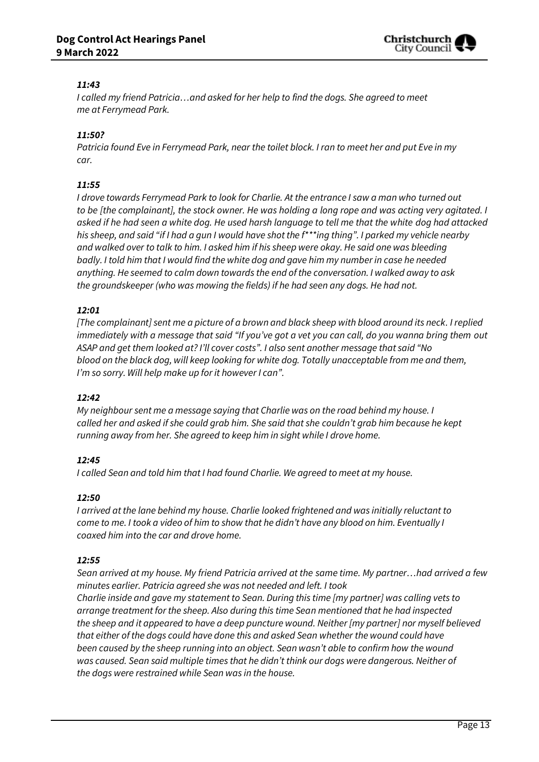

## *11:43*

*I called my friend Patricia…and asked for her help to find the dogs. She agreed to meet me at Ferrymead Park.*

## *11:50?*

*Patricia found Eve in Ferrymead Park, near the toilet block. I ran to meet her and put Eve in my car.*

#### *11:55*

*I drove towards Ferrymead Park to look for Charlie. At the entrance I saw a man who turned out to be [the complainant], the stock owner. He was holding a long rope and was acting very agitated. I asked if he had seen a white dog. He used harsh language to tell me that the white dog had attacked his sheep, and said "if I had a gun I would have shot the f\*\*\*ing thing". I parked my vehicle nearby and walked over to talk to him. I asked him if his sheep were okay. He said one was bleeding badly. I told him that I would find the white dog and gave him my number in case he needed anything. He seemed to calm down towards the end of the conversation. I walked away to ask the groundskeeper (who was mowing the fields) if he had seen any dogs. He had not.*

#### *12:01*

*[The complainant] sent me a picture of a brown and black sheep with blood around its neck. I replied immediately with a message that said "If you've got a vet you can call, do you wanna bring them out ASAP and get them looked at? I'll cover costs". I also sent another message that said "No blood on the black dog, will keep looking for white dog. Totally unacceptable from me and them, I'm so sorry. Will help make up for it however I can".*

#### *12:42*

*My neighbour sent me a message saying that Charlie was on the road behind my house. I called her and asked if she could grab him. She said that she couldn't grab him because he kept running away from her. She agreed to keep him in sight while I drove home.*

#### *12:45*

*I called Sean and told him that I had found Charlie. We agreed to meet at my house.*

#### *12:50*

*I arrived at the lane behind my house. Charlie looked frightened and was initially reluctant to come to me. I took a video of him to show that he didn't have any blood on him. Eventually I coaxed him into the car and drove home.*

#### *12:55*

*Sean arrived at my house. My friend Patricia arrived at the same time. My partner…had arrived a few minutes earlier. Patricia agreed she was not needed and left. I took*

*Charlie inside and gave my statement to Sean. During this time [my partner] was calling vets to arrange treatment for the sheep. Also during this time Sean mentioned that he had inspected the sheep and it appeared to have a deep puncture wound. Neither [my partner] nor myself believed that either of the dogs could have done this and asked Sean whether the wound could have been caused by the sheep running into an object. Sean wasn't able to confirm how the wound was caused. Sean said multiple times that he didn't think our dogs were dangerous. Neither of the dogs were restrained while Sean was in the house.*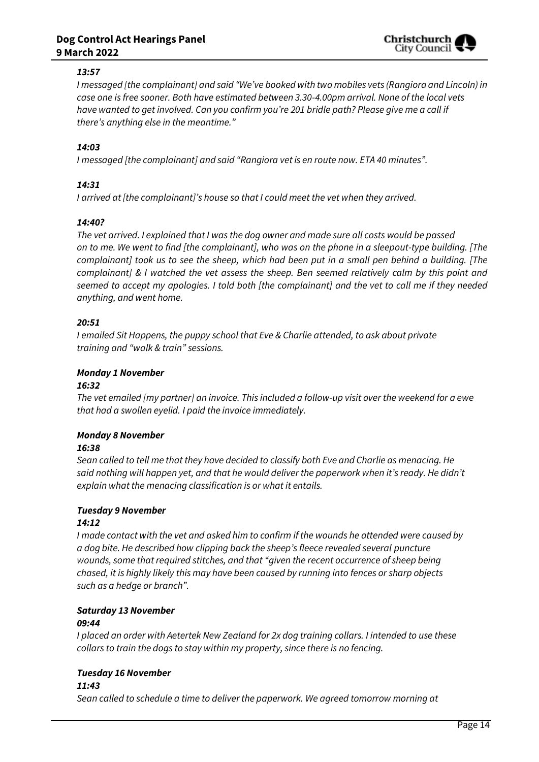## *13:57*

*I messaged [the complainant] and said "We've booked with two mobiles vets (Rangiora and Lincoln) in case one is free sooner. Both have estimated between 3.30-4.00pm arrival. None of the local vets have wanted to get involved. Can you confirm you're 201 bridle path? Please give me a call if there's anything else in the meantime."*

## *14:03*

*I messaged [the complainant] and said "Rangiora vet is en route now. ETA 40 minutes".*

## *14:31*

*I arrived at [the complainant]'s house so that I could meet the vet when they arrived.*

#### *14:40?*

*The vet arrived. I explained that I was the dog owner and made sure all costs would be passed on to me. We went to find [the complainant], who was on the phone in a sleepout-type building. [The complainant] took us to see the sheep, which had been put in a small pen behind a building. [The complainant] & I watched the vet assess the sheep. Ben seemed relatively calm by this point and seemed to accept my apologies. I told both [the complainant] and the vet to call me if they needed anything, and went home.*

## *20:51*

*I emailed Sit Happens, the puppy school that Eve & Charlie attended, to ask about private training and "walk & train" sessions.*

## *Monday 1 November*

#### *16:32*

*The vet emailed [my partner] an invoice. This included a follow-up visit over the weekend for a ewe that had a swollen eyelid. I paid the invoice immediately.*

#### *Monday 8 November*

#### *16:38*

*Sean called to tell me that they have decided to classify both Eve and Charlie as menacing. He said nothing will happen yet, and that he would deliver the paperwork when it's ready. He didn't explain what the menacing classification is or what it entails.*

#### *Tuesday 9 November*

#### *14:12*

*I made contact with the vet and asked him to confirm if the wounds he attended were caused by a dog bite. He described how clipping back the sheep's fleece revealed several puncture wounds, some that required stitches, and that "given the recent occurrence of sheep being chased, it is highly likely this may have been caused by running into fences or sharp objects such as a hedge or branch".*

## *Saturday 13 November*

#### *09:44*

*I placed an order with Aetertek New Zealand for 2x dog training collars. I intended to use these collars to train the dogs to stay within my property, since there is no fencing.*

## *Tuesday 16 November*

## *11:43*

*Sean called to schedule a time to deliver the paperwork. We agreed tomorrow morning at*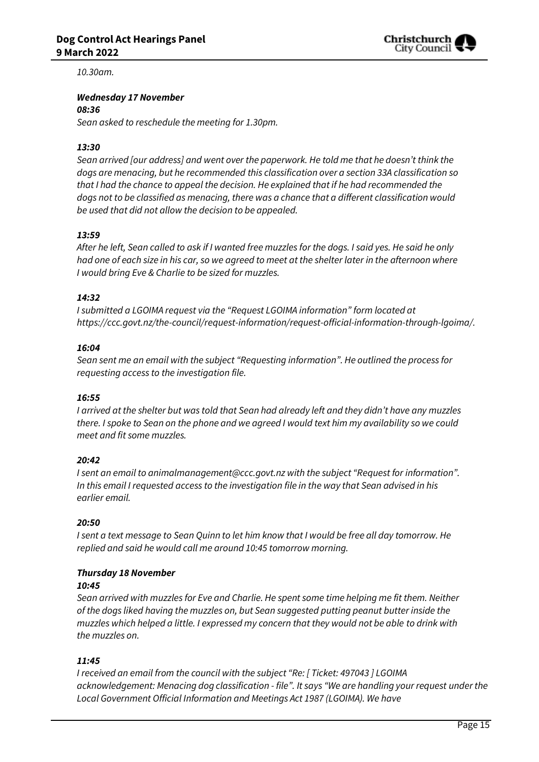

*10.30am.*

#### *Wednesday 17 November*

#### *08:36*

*Sean asked to reschedule the meeting for 1.30pm.*

#### *13:30*

*Sean arrived [our address] and went over the paperwork. He told me that he doesn't think the dogs are menacing, but he recommended this classification over a section 33A classification so that I had the chance to appeal the decision. He explained that if he had recommended the dogs not to be classified as menacing, there was a chance that a different classification would be used that did not allow the decision to be appealed.*

#### *13:59*

*After he left, Sean called to ask if I wanted free muzzles for the dogs. I said yes. He said he only had one of each size in his car, so we agreed to meet at the shelter later in the afternoon where I would bring Eve & Charlie to be sized for muzzles.*

#### *14:32*

*I submitted a LGOIMA request via the "Request LGOIMA information" form located at https://ccc.govt.nz/the-council/request-information/request-official-information-through-lgoima/.*

#### *16:04*

*Sean sent me an email with the subject "Requesting information". He outlined the process for requesting access to the investigation file.*

#### *16:55*

*I arrived at the shelter but was told that Sean had already left and they didn't have any muzzles there. I spoke to Sean on the phone and we agreed I would text him my availability so we could meet and fit some muzzles.*

#### *20:42*

*I sent an email to animalmanagement@ccc.govt.nz with the subject "Request for information". In this email I requested access to the investigation file in the way that Sean advised in his earlier email.*

#### *20:50*

*I sent a text message to Sean Quinn to let him know that I would be free all day tomorrow. He replied and said he would call me around 10:45 tomorrow morning.*

#### *Thursday 18 November*

#### *10:45*

*Sean arrived with muzzles for Eve and Charlie. He spent some time helping me fit them. Neither of the dogs liked having the muzzles on, but Sean suggested putting peanut butter inside the muzzles which helped a little. I expressed my concern that they would not be able to drink with the muzzles on.*

#### *11:45*

*I received an email from the council with the subject "Re: [ Ticket: 497043 ] LGOIMA acknowledgement: Menacing dog classification - file". It says "We are handling your request under the Local Government Official Information and Meetings Act 1987 (LGOIMA). We have*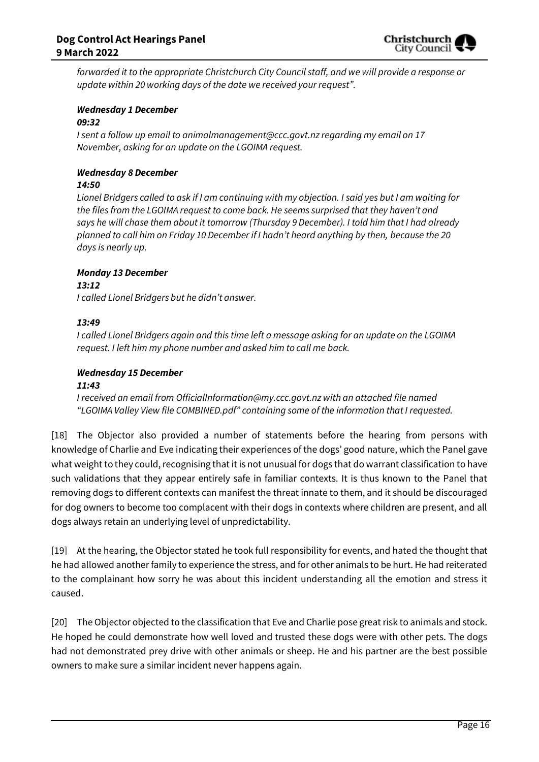

*forwarded it to the appropriate Christchurch City Council staff, and we will provide a response or update within 20 working days of the date we received your request".*

## *Wednesday 1 December*

#### *09:32*

*I sent a follow up email to animalmanagement@ccc.govt.nz regarding my email on 17 November, asking for an update on the LGOIMA request.*

#### *Wednesday 8 December*

#### *14:50*

*Lionel Bridgers called to ask if I am continuing with my objection. I said yes but I am waiting for the files from the LGOIMA request to come back. He seems surprised that they haven't and says he will chase them about it tomorrow (Thursday 9 December). I told him that I had already planned to call him on Friday 10 December if I hadn't heard anything by then, because the 20 days is nearly up.*

## *Monday 13 December*

#### *13:12*

*I called Lionel Bridgers but he didn't answer.*

#### *13:49*

*I called Lionel Bridgers again and this time left a message asking for an update on the LGOIMA request. I left him my phone number and asked him to call me back.*

## *Wednesday 15 December*

#### *11:43*

*I received an email from OfficialInformation@my.ccc.govt.nz with an attached file named "LGOIMA Valley View file COMBINED.pdf" containing some of the information that I requested.*

[18] The Objector also provided a number of statements before the hearing from persons with knowledge of Charlie and Eve indicating their experiences of the dogs' good nature, which the Panel gave what weight to they could, recognising that it is not unusual for dogs that do warrant classification to have such validations that they appear entirely safe in familiar contexts. It is thus known to the Panel that removing dogs to different contexts can manifest the threat innate to them, and it should be discouraged for dog owners to become too complacent with their dogs in contexts where children are present, and all dogs always retain an underlying level of unpredictability.

[19] At the hearing, the Objector stated he took full responsibility for events, and hated the thought that he had allowed another family to experience the stress, and for other animals to be hurt. He had reiterated to the complainant how sorry he was about this incident understanding all the emotion and stress it caused.

[20] The Objector objected to the classification that Eve and Charlie pose great risk to animals and stock. He hoped he could demonstrate how well loved and trusted these dogs were with other pets. The dogs had not demonstrated prey drive with other animals or sheep. He and his partner are the best possible owners to make sure a similar incident never happens again.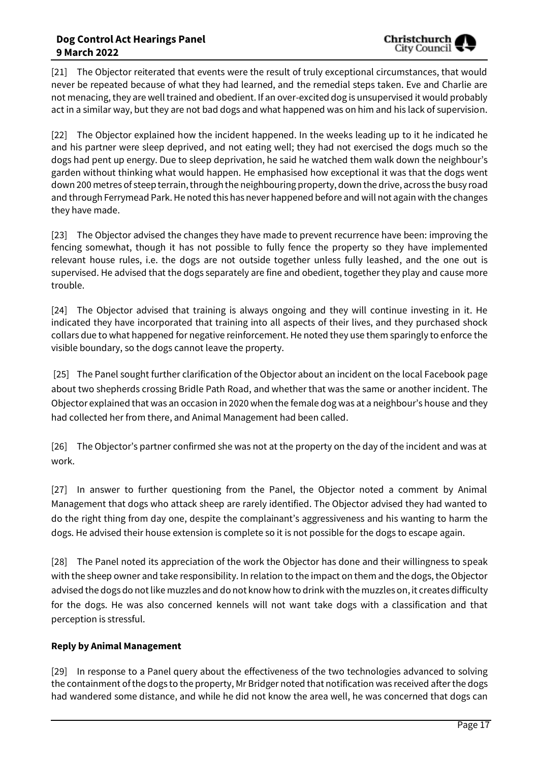[21] The Objector reiterated that events were the result of truly exceptional circumstances, that would never be repeated because of what they had learned, and the remedial steps taken. Eve and Charlie are not menacing, they are well trained and obedient. If an over-excited dog is unsupervised it would probably act in a similar way, but they are not bad dogs and what happened was on him and his lack of supervision.

[22] The Objector explained how the incident happened. In the weeks leading up to it he indicated he and his partner were sleep deprived, and not eating well; they had not exercised the dogs much so the dogs had pent up energy. Due to sleep deprivation, he said he watched them walk down the neighbour's garden without thinking what would happen. He emphasised how exceptional it was that the dogs went down 200 metres of steep terrain, through the neighbouring property, down the drive, across the busy road and through Ferrymead Park. He noted this has never happened before and will not again with the changes they have made.

[23] The Objector advised the changes they have made to prevent recurrence have been: improving the fencing somewhat, though it has not possible to fully fence the property so they have implemented relevant house rules, i.e. the dogs are not outside together unless fully leashed, and the one out is supervised. He advised that the dogs separately are fine and obedient, together they play and cause more trouble.

[24] The Objector advised that training is always ongoing and they will continue investing in it. He indicated they have incorporated that training into all aspects of their lives, and they purchased shock collars due to what happened for negative reinforcement. He noted they use them sparingly to enforce the visible boundary, so the dogs cannot leave the property.

[25] The Panel sought further clarification of the Objector about an incident on the local Facebook page about two shepherds crossing Bridle Path Road, and whether that was the same or another incident. The Objector explained that was an occasion in 2020 when the female dog was at a neighbour's house and they had collected her from there, and Animal Management had been called.

[26] The Objector's partner confirmed she was not at the property on the day of the incident and was at work.

[27] In answer to further questioning from the Panel, the Objector noted a comment by Animal Management that dogs who attack sheep are rarely identified. The Objector advised they had wanted to do the right thing from day one, despite the complainant's aggressiveness and his wanting to harm the dogs. He advised their house extension is complete so it is not possible for the dogs to escape again.

[28] The Panel noted its appreciation of the work the Objector has done and their willingness to speak with the sheep owner and take responsibility. In relation to the impact on them and the dogs, the Objector advised the dogs do not like muzzles and do not know how to drink with the muzzles on, it creates difficulty for the dogs. He was also concerned kennels will not want take dogs with a classification and that perception is stressful.

## **Reply by Animal Management**

[29] In response to a Panel query about the effectiveness of the two technologies advanced to solving the containment of the dogs to the property, Mr Bridger noted that notification was received after the dogs had wandered some distance, and while he did not know the area well, he was concerned that dogs can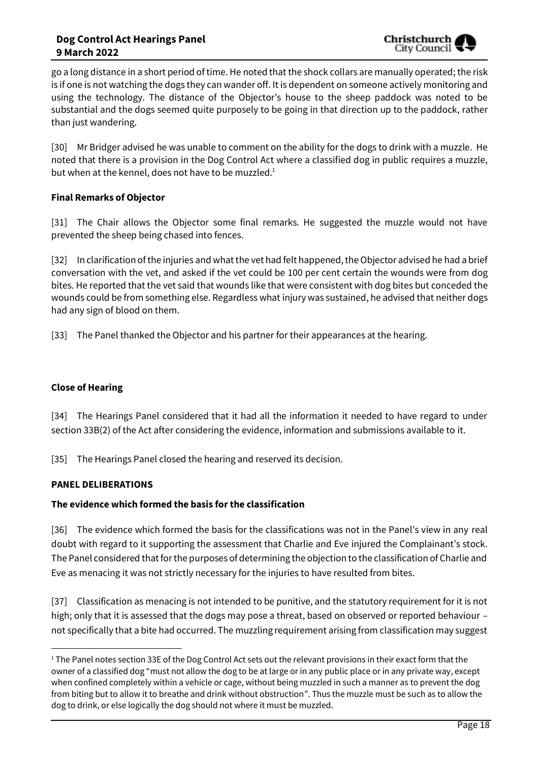go a long distance in a short period of time. He noted that the shock collars are manually operated;the risk is if one is not watching the dogs they can wander off. It is dependent on someone actively monitoring and using the technology. The distance of the Objector's house to the sheep paddock was noted to be substantial and the dogs seemed quite purposely to be going in that direction up to the paddock, rather than just wandering.

[30] Mr Bridger advised he was unable to comment on the ability for the dogs to drink with a muzzle. He noted that there is a provision in the Dog Control Act where a classified dog in public requires a muzzle, but when at the kennel, does not have to be muzzled.<sup>1</sup>

## **Final Remarks of Objector**

[31] The Chair allows the Objector some final remarks. He suggested the muzzle would not have prevented the sheep being chased into fences.

[32] In clarification of the injuries and what the vet had felt happened, the Objector advised he had a brief conversation with the vet, and asked if the vet could be 100 per cent certain the wounds were from dog bites. He reported that the vet said that wounds like that were consistent with dog bites but conceded the wounds could be from something else. Regardless what injury was sustained, he advised that neither dogs had any sign of blood on them.

[33] The Panel thanked the Objector and his partner for their appearances at the hearing.

## **Close of Hearing**

[34] The Hearings Panel considered that it had all the information it needed to have regard to under section 33B(2) of the Act after considering the evidence, information and submissions available to it.

[35] The Hearings Panel closed the hearing and reserved its decision.

## **PANEL DELIBERATIONS**

 $\overline{\phantom{a}}$ 

## **The evidence which formed the basis for the classification**

[36] The evidence which formed the basis for the classifications was not in the Panel's view in any real doubt with regard to it supporting the assessment that Charlie and Eve injured the Complainant's stock. The Panel considered that for the purposes of determining the objection to the classification of Charlie and Eve as menacing it was not strictly necessary for the injuries to have resulted from bites.

[37] Classification as menacing is not intended to be punitive, and the statutory requirement for it is not high; only that it is assessed that the dogs may pose a threat, based on observed or reported behaviour – not specifically that a bite had occurred. The muzzling requirement arising from classification may suggest

<sup>&</sup>lt;sup>1</sup> The Panel notes section 33E of the Dog Control Act sets out the relevant provisions in their exact form that the owner of a classified dog "must not allow the dog to be at large or in any public place or in any private way, except when confined completely within a vehicle or cage, without being muzzled in such a manner as to prevent the dog from biting but to allow it to breathe and drink without obstruction". Thus the muzzle must be such as to allow the dog to drink, or else logically the dog should not where it must be muzzled.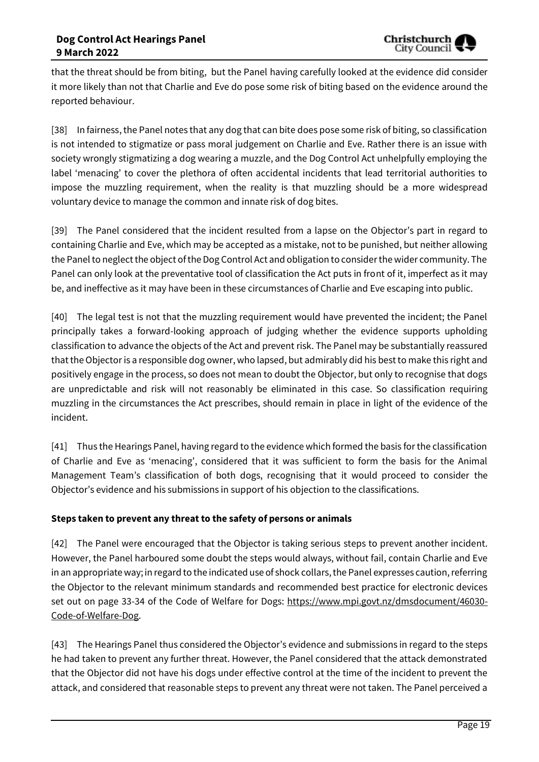that the threat should be from biting, but the Panel having carefully looked at the evidence did consider it more likely than not that Charlie and Eve do pose some risk of biting based on the evidence around the reported behaviour.

[38] In fairness, the Panel notes that any dog that can bite does pose some risk of biting, so classification is not intended to stigmatize or pass moral judgement on Charlie and Eve. Rather there is an issue with society wrongly stigmatizing a dog wearing a muzzle, and the Dog Control Act unhelpfully employing the label 'menacing' to cover the plethora of often accidental incidents that lead territorial authorities to impose the muzzling requirement, when the reality is that muzzling should be a more widespread voluntary device to manage the common and innate risk of dog bites.

[39] The Panel considered that the incident resulted from a lapse on the Objector's part in regard to containing Charlie and Eve, which may be accepted as a mistake, not to be punished, but neither allowing the Panel to neglect the object of the Dog Control Act and obligation to consider the wider community. The Panel can only look at the preventative tool of classification the Act puts in front of it, imperfect as it may be, and ineffective as it may have been in these circumstances of Charlie and Eve escaping into public.

[40] The legal test is not that the muzzling requirement would have prevented the incident; the Panel principally takes a forward-looking approach of judging whether the evidence supports upholding classification to advance the objects of the Act and prevent risk. The Panel may be substantially reassured that the Objector is a responsible dog owner, who lapsed, but admirably did his best to make this right and positively engage in the process, so does not mean to doubt the Objector, but only to recognise that dogs are unpredictable and risk will not reasonably be eliminated in this case. So classification requiring muzzling in the circumstances the Act prescribes, should remain in place in light of the evidence of the incident.

[41] Thus the Hearings Panel, having regard to the evidence which formed the basis for the classification of Charlie and Eve as 'menacing', considered that it was sufficient to form the basis for the Animal Management Team's classification of both dogs, recognising that it would proceed to consider the Objector's evidence and his submissions in support of his objection to the classifications.

## **Steps taken to prevent any threat to the safety of persons or animals**

[42] The Panel were encouraged that the Objector is taking serious steps to prevent another incident. However, the Panel harboured some doubt the steps would always, without fail, contain Charlie and Eve in an appropriate way; in regard to the indicated use of shock collars, the Panel expresses caution, referring the Objector to the relevant minimum standards and recommended best practice for electronic devices set out on page 33-34 of the Code of Welfare for Dogs: [https://www.mpi.govt.nz/dmsdocument/46030-](https://www.mpi.govt.nz/dmsdocument/46030-Code-of-Welfare-Dog) [Code-of-Welfare-Dog.](https://www.mpi.govt.nz/dmsdocument/46030-Code-of-Welfare-Dog)

[43] The Hearings Panel thus considered the Objector's evidence and submissions in regard to the steps he had taken to prevent any further threat. However, the Panel considered that the attack demonstrated that the Objector did not have his dogs under effective control at the time of the incident to prevent the attack, and considered that reasonable steps to prevent any threat were not taken. The Panel perceived a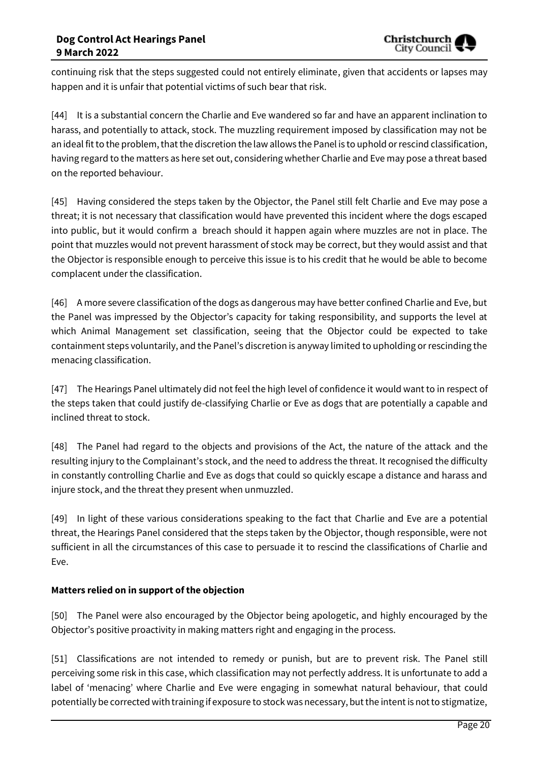continuing risk that the steps suggested could not entirely eliminate, given that accidents or lapses may happen and it is unfair that potential victims of such bear that risk.

[44] It is a substantial concern the Charlie and Eve wandered so far and have an apparent inclination to harass, and potentially to attack, stock. The muzzling requirement imposed by classification may not be an ideal fit to the problem, that the discretion the law allows the Panel is to uphold or rescind classification, having regard to the matters as here set out, considering whether Charlie and Eve may pose a threat based on the reported behaviour.

[45] Having considered the steps taken by the Objector, the Panel still felt Charlie and Eve may pose a threat; it is not necessary that classification would have prevented this incident where the dogs escaped into public, but it would confirm a breach should it happen again where muzzles are not in place. The point that muzzles would not prevent harassment of stock may be correct, but they would assist and that the Objector is responsible enough to perceive this issue is to his credit that he would be able to become complacent under the classification.

[46] A more severe classification of the dogs as dangerous may have better confined Charlie and Eve, but the Panel was impressed by the Objector's capacity for taking responsibility, and supports the level at which Animal Management set classification, seeing that the Objector could be expected to take containment steps voluntarily, and the Panel's discretion is anyway limited to upholding or rescinding the menacing classification.

[47] The Hearings Panel ultimately did not feel the high level of confidence it would want to in respect of the steps taken that could justify de-classifying Charlie or Eve as dogs that are potentially a capable and inclined threat to stock.

[48] The Panel had regard to the objects and provisions of the Act, the nature of the attack and the resulting injury to the Complainant's stock, and the need to address the threat. It recognised the difficulty in constantly controlling Charlie and Eve as dogs that could so quickly escape a distance and harass and injure stock, and the threat they present when unmuzzled.

[49] In light of these various considerations speaking to the fact that Charlie and Eve are a potential threat, the Hearings Panel considered that the steps taken by the Objector, though responsible, were not sufficient in all the circumstances of this case to persuade it to rescind the classifications of Charlie and Eve.

## **Matters relied on in support of the objection**

[50] The Panel were also encouraged by the Objector being apologetic, and highly encouraged by the Objector's positive proactivity in making matters right and engaging in the process.

[51] Classifications are not intended to remedy or punish, but are to prevent risk. The Panel still perceiving some risk in this case, which classification may not perfectly address. It is unfortunate to add a label of 'menacing' where Charlie and Eve were engaging in somewhat natural behaviour, that could potentially be corrected with training if exposure to stock was necessary, but the intent is not to stigmatize,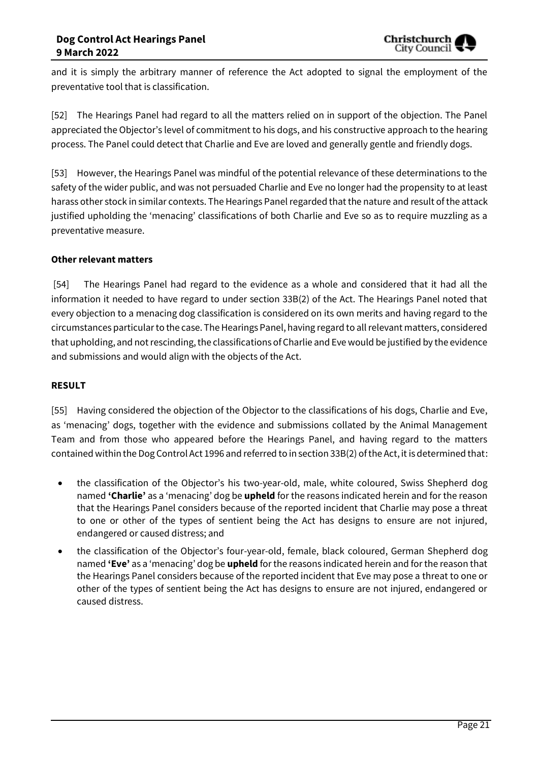and it is simply the arbitrary manner of reference the Act adopted to signal the employment of the preventative tool that is classification.

[52] The Hearings Panel had regard to all the matters relied on in support of the objection. The Panel appreciated the Objector's level of commitment to his dogs, and his constructive approach to the hearing process. The Panel could detect that Charlie and Eve are loved and generally gentle and friendly dogs.

[53] However, the Hearings Panel was mindful of the potential relevance of these determinations to the safety of the wider public, and was not persuaded Charlie and Eve no longer had the propensity to at least harass other stock in similar contexts. The Hearings Panel regarded that the nature and result of the attack justified upholding the 'menacing' classifications of both Charlie and Eve so as to require muzzling as a preventative measure.

## **Other relevant matters**

[54] The Hearings Panel had regard to the evidence as a whole and considered that it had all the information it needed to have regard to under section 33B(2) of the Act. The Hearings Panel noted that every objection to a menacing dog classification is considered on its own merits and having regard to the circumstances particular to the case. The Hearings Panel, having regard to all relevant matters, considered that upholding, and not rescinding, the classifications of Charlie and Eve would be justified by the evidence and submissions and would align with the objects of the Act.

#### **RESULT**

[55] Having considered the objection of the Objector to the classifications of his dogs, Charlie and Eve, as 'menacing' dogs, together with the evidence and submissions collated by the Animal Management Team and from those who appeared before the Hearings Panel, and having regard to the matters contained within the Dog Control Act 1996 and referred to in section 33B(2) of the Act, it is determined that:

- the classification of the Objector's his two-year-old, male, white coloured, Swiss Shepherd dog named **'Charlie'** as a 'menacing' dog be **upheld** for the reasons indicated herein and for the reason that the Hearings Panel considers because of the reported incident that Charlie may pose a threat to one or other of the types of sentient being the Act has designs to ensure are not injured, endangered or caused distress; and
- the classification of the Objector's four-year-old, female, black coloured, German Shepherd dog named **'Eve'** as a 'menacing' dog be **upheld** for the reasons indicated herein and for the reason that the Hearings Panel considers because of the reported incident that Eve may pose a threat to one or other of the types of sentient being the Act has designs to ensure are not injured, endangered or caused distress.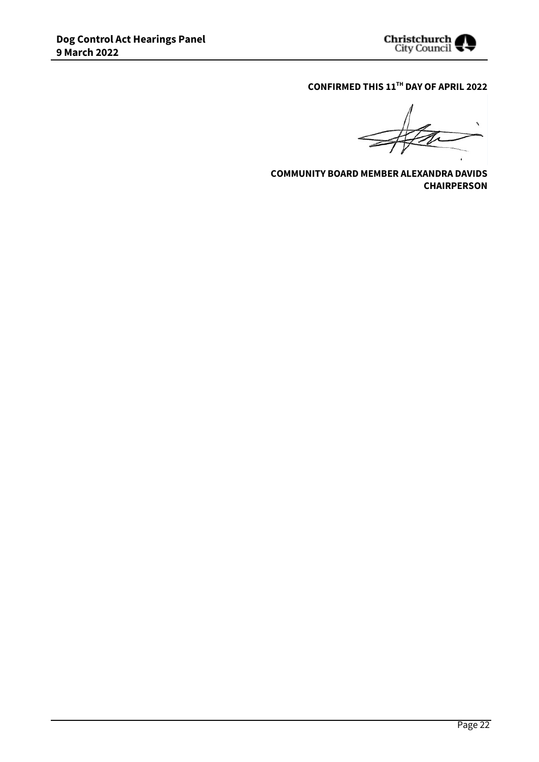

## **CONFIRMED THIS 11TH DAY OF APRIL 2022**

 $\checkmark$ 

**COMMUNITY BOARD MEMBER ALEXANDRA DAVIDS CHAIRPERSON**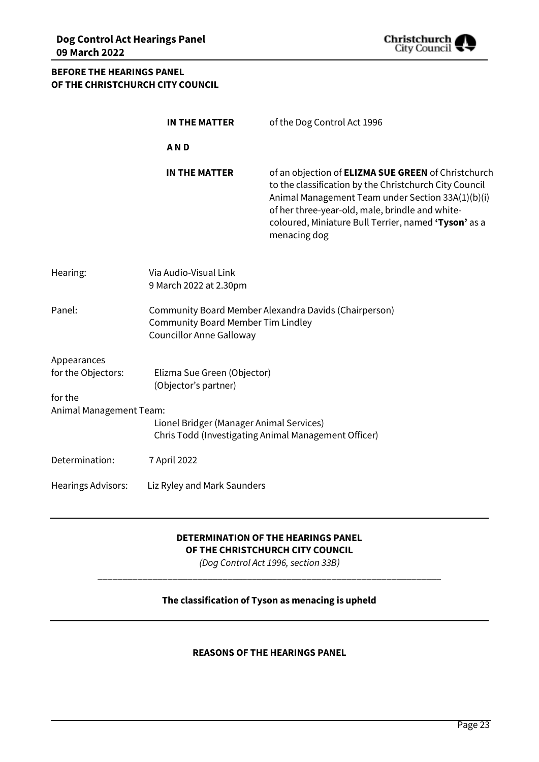

## **BEFORE THE HEARINGS PANEL OF THE CHRISTCHURCH CITY COUNCIL**

|                         | IN THE MATTER                                                                | of the Dog Control Act 1996                                                                                                                                                                                                                                                                          |
|-------------------------|------------------------------------------------------------------------------|------------------------------------------------------------------------------------------------------------------------------------------------------------------------------------------------------------------------------------------------------------------------------------------------------|
|                         | <b>AND</b>                                                                   |                                                                                                                                                                                                                                                                                                      |
|                         | IN THE MATTER                                                                | of an objection of <b>ELIZMA SUE GREEN</b> of Christchurch<br>to the classification by the Christchurch City Council<br>Animal Management Team under Section 33A(1)(b)(i)<br>of her three-year-old, male, brindle and white-<br>coloured, Miniature Bull Terrier, named 'Tyson' as a<br>menacing dog |
| Hearing:                | Via Audio-Visual Link<br>9 March 2022 at 2.30pm                              |                                                                                                                                                                                                                                                                                                      |
| Panel:                  | <b>Community Board Member Tim Lindley</b><br><b>Councillor Anne Galloway</b> | Community Board Member Alexandra Davids (Chairperson)                                                                                                                                                                                                                                                |
| Appearances             |                                                                              |                                                                                                                                                                                                                                                                                                      |
| for the Objectors:      | Elizma Sue Green (Objector)<br>(Objector's partner)                          |                                                                                                                                                                                                                                                                                                      |
| for the                 |                                                                              |                                                                                                                                                                                                                                                                                                      |
| Animal Management Team: |                                                                              |                                                                                                                                                                                                                                                                                                      |
|                         | Lionel Bridger (Manager Animal Services)                                     | Chris Todd (Investigating Animal Management Officer)                                                                                                                                                                                                                                                 |
| Determination:          | 7 April 2022                                                                 |                                                                                                                                                                                                                                                                                                      |
| Hearings Advisors:      | Liz Ryley and Mark Saunders                                                  |                                                                                                                                                                                                                                                                                                      |

#### **DETERMINATION OF THE HEARINGS PANEL OF THE CHRISTCHURCH CITY COUNCIL**

*(Dog Control Act 1996, section 33B)* \_\_\_\_\_\_\_\_\_\_\_\_\_\_\_\_\_\_\_\_\_\_\_\_\_\_\_\_\_\_\_\_\_\_\_\_\_\_\_\_\_\_\_\_\_\_\_\_\_\_\_\_\_\_\_\_\_\_\_\_\_\_\_\_\_\_\_\_\_

## **The classification of Tyson as menacing is upheld**

#### **REASONS OF THE HEARINGS PANEL**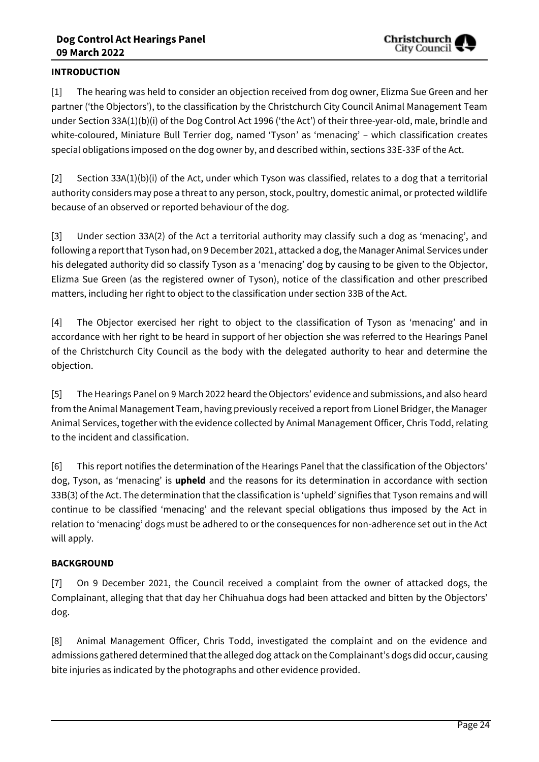## **INTRODUCTION**

[1] The hearing was held to consider an objection received from dog owner, Elizma Sue Green and her partner ('the Objectors'), to the classification by the Christchurch City Council Animal Management Team under Section 33A(1)(b)(i) of the Dog Control Act 1996 ('the Act') of their three-year-old, male, brindle and white-coloured, Miniature Bull Terrier dog, named 'Tyson' as 'menacing' – which classification creates special obligations imposed on the dog owner by, and described within, sections 33E-33F of the Act.

[2] Section 33A(1)(b)(i) of the Act, under which Tyson was classified, relates to a dog that a territorial authority considers may pose a threat to any person, stock, poultry, domestic animal, or protected wildlife because of an observed or reported behaviour of the dog.

[3] Under section 33A(2) of the Act a territorial authority may classify such a dog as 'menacing', and following a report that Tyson had, on 9 December 2021, attacked a dog, the Manager Animal Services under his delegated authority did so classify Tyson as a 'menacing' dog by causing to be given to the Objector, Elizma Sue Green (as the registered owner of Tyson), notice of the classification and other prescribed matters, including her right to object to the classification under section 33B of the Act.

[4] The Objector exercised her right to object to the classification of Tyson as 'menacing' and in accordance with her right to be heard in support of her objection she was referred to the Hearings Panel of the Christchurch City Council as the body with the delegated authority to hear and determine the objection.

[5] The Hearings Panel on 9 March 2022 heard the Objectors' evidence and submissions, and also heard from the Animal Management Team, having previously received a report from Lionel Bridger, the Manager Animal Services, together with the evidence collected by Animal Management Officer, Chris Todd, relating to the incident and classification.

[6] This report notifies the determination of the Hearings Panel that the classification of the Objectors' dog, Tyson, as 'menacing' is **upheld** and the reasons for its determination in accordance with section 33B(3) of the Act. The determination that the classification is 'upheld' signifies that Tyson remains and will continue to be classified 'menacing' and the relevant special obligations thus imposed by the Act in relation to 'menacing' dogs must be adhered to or the consequences for non-adherence set out in the Act will apply.

## **BACKGROUND**

[7] On 9 December 2021, the Council received a complaint from the owner of attacked dogs, the Complainant, alleging that that day her Chihuahua dogs had been attacked and bitten by the Objectors' dog.

[8] Animal Management Officer, Chris Todd, investigated the complaint and on the evidence and admissions gathered determined that the alleged dog attack on the Complainant's dogs did occur, causing bite injuries as indicated by the photographs and other evidence provided.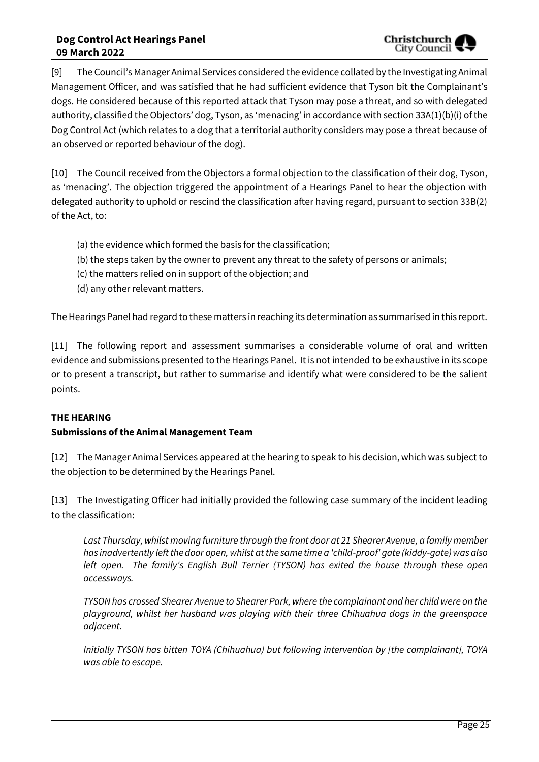[9] The Council's Manager Animal Services considered the evidence collated by the Investigating Animal Management Officer, and was satisfied that he had sufficient evidence that Tyson bit the Complainant's dogs. He considered because of this reported attack that Tyson may pose a threat, and so with delegated authority, classified the Objectors' dog, Tyson, as 'menacing' in accordance with section 33A(1)(b)(i) of the Dog Control Act (which relates to a dog that a territorial authority considers may pose a threat because of an observed or reported behaviour of the dog).

[10] The Council received from the Objectors a formal objection to the classification of their dog, Tyson, as 'menacing'. The objection triggered the appointment of a Hearings Panel to hear the objection with delegated authority to uphold or rescind the classification after having regard, pursuant to section 33B(2) of the Act, to:

- (a) the evidence which formed the basis for the classification;
- (b) the steps taken by the owner to prevent any threat to the safety of persons or animals;
- (c) the matters relied on in support of the objection; and
- (d) any other relevant matters.

The Hearings Panel had regard to these matters in reaching its determination as summarised in this report.

[11] The following report and assessment summarises a considerable volume of oral and written evidence and submissions presented to the Hearings Panel. It is not intended to be exhaustive in its scope or to present a transcript, but rather to summarise and identify what were considered to be the salient points.

## **THE HEARING**

#### **Submissions of the Animal Management Team**

[12] The Manager Animal Services appeared at the hearing to speak to his decision, which was subject to the objection to be determined by the Hearings Panel.

[13] The Investigating Officer had initially provided the following case summary of the incident leading to the classification:

*Last Thursday, whilst moving furniture through the front door at 21 Shearer Avenue, a family member has inadvertently left the door open, whilst at the same time a 'child-proof' gate (kiddy-gate) was also left open. The family's English Bull Terrier (TYSON) has exited the house through these open accessways.*

*TYSON has crossed Shearer Avenue to Shearer Park, where the complainant and her child were on the playground, whilst her husband was playing with their three Chihuahua dogs in the greenspace adjacent.*

*Initially TYSON has bitten TOYA (Chihuahua) but following intervention by [the complainant], TOYA was able to escape.*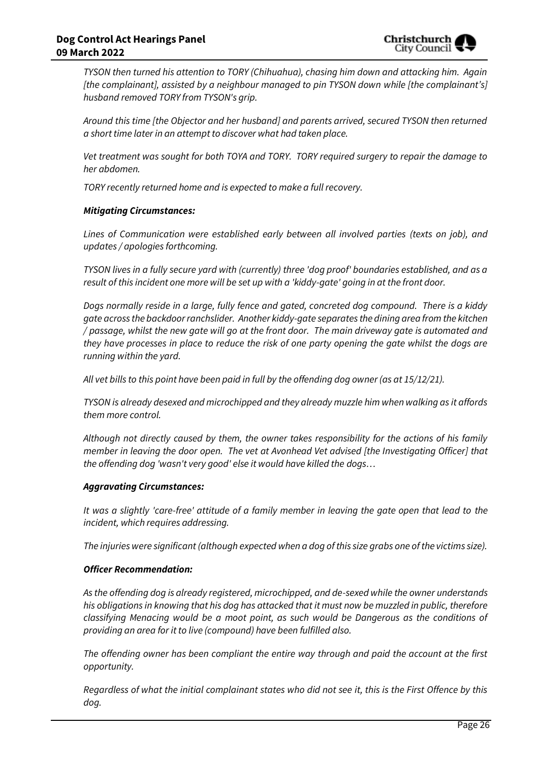*TYSON then turned his attention to TORY (Chihuahua), chasing him down and attacking him. Again [the complainant], assisted by a neighbour managed to pin TYSON down while [the complainant's] husband removed TORY from TYSON's grip.*

*Around this time [the Objector and her husband] and parents arrived, secured TYSON then returned a short time later in an attempt to discover what had taken place.*

*Vet treatment was sought for both TOYA and TORY. TORY required surgery to repair the damage to her abdomen.*

*TORY recently returned home and is expected to make a full recovery.*

#### *Mitigating Circumstances:*

*Lines of Communication were established early between all involved parties (texts on job), and updates / apologies forthcoming.*

*TYSON lives in a fully secure yard with (currently) three 'dog proof' boundaries established, and as a result of this incident one more will be set up with a 'kiddy-gate' going in at the front door.*

*Dogs normally reside in a large, fully fence and gated, concreted dog compound. There is a kiddy gate across the backdoor ranchslider. Another kiddy-gate separates the dining area from the kitchen / passage, whilst the new gate will go at the front door. The main driveway gate is automated and they have processes in place to reduce the risk of one party opening the gate whilst the dogs are running within the yard.*

*All vet bills to this point have been paid in full by the offending dog owner (as at 15/12/21).*

*TYSON is already desexed and microchipped and they already muzzle him when walking as it affords them more control.*

*Although not directly caused by them, the owner takes responsibility for the actions of his family member in leaving the door open. The vet at Avonhead Vet advised [the Investigating Officer] that the offending dog 'wasn't very good' else it would have killed the dogs…*

#### *Aggravating Circumstances:*

*It was a slightly 'care-free' attitude of a family member in leaving the gate open that lead to the incident, which requires addressing.*

*The injuries were significant (although expected when a dog of this size grabs one of the victims size).*

#### *Officer Recommendation:*

As the offending dog is already registered, microchipped, and de-sexed while the owner *understands his obligations in knowing that his dog has attacked that it must now be muzzled in public, therefore classifying Menacing would be a moot point, as such would be Dangerous as the conditions of providing an area for it to live (compound) have been fulfilled also.*

*The offending owner has been compliant the entire way through and paid the account at the first opportunity.*

*Regardless of what the initial complainant states who did not see it, this is the First Offence by this dog.*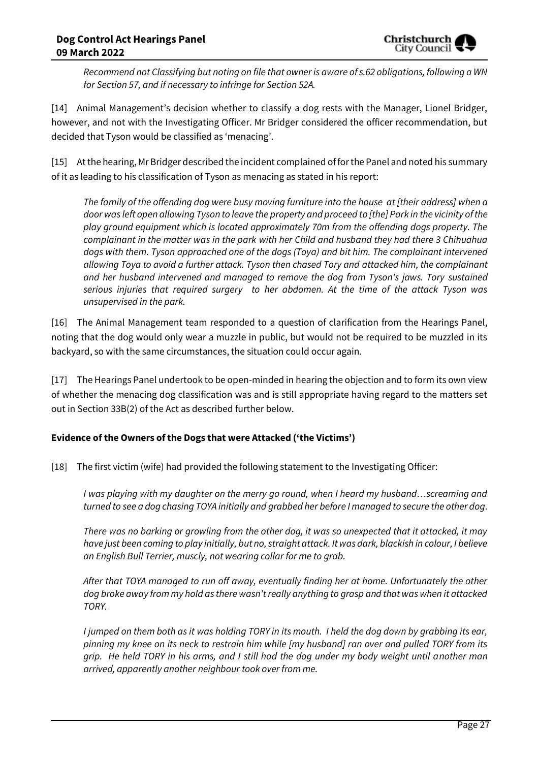*Recommend not Classifying but noting on file that owner is aware of s.62 obligations, following a WN for Section 57, and if necessary to infringe for Section 52A.*

[14] Animal Management's decision whether to classify a dog rests with the Manager, Lionel Bridger, however, and not with the Investigating Officer. Mr Bridger considered the officer recommendation, but decided that Tyson would be classified as 'menacing'.

[15] At the hearing, Mr Bridger described the incident complained of for the Panel and noted his summary of it as leading to his classification of Tyson as menacing as stated in his report:

*The family of the offending dog were busy moving furniture into the house at [their address] when a door was left open allowing Tyson to leave the property and proceed to [the] Park in the vicinity of the play ground equipment which is located approximately 70m from the offending dogs property. The complainant in the matter was in the park with her Child and husband they had there 3 Chihuahua dogs with them. Tyson approached one of the dogs (Toya) and bit him. The complainant intervened allowing Toya to avoid a further attack. Tyson then chased Tory and attacked him, the complainant and her husband intervened and managed to remove the dog from Tyson's jaws. Tory sustained serious injuries that required surgery to her abdomen. At the time of the attack Tyson was unsupervised in the park.*

[16] The Animal Management team responded to a question of clarification from the Hearings Panel, noting that the dog would only wear a muzzle in public, but would not be required to be muzzled in its backyard, so with the same circumstances, the situation could occur again.

[17] The Hearings Panel undertook to be open-minded in hearing the objection and to form its own view of whether the menacing dog classification was and is still appropriate having regard to the matters set out in Section 33B(2) of the Act as described further below.

## **Evidence of the Owners of the Dogs that were Attacked ('the Victims')**

[18] The first victim (wife) had provided the following statement to the Investigating Officer:

*I was playing with my daughter on the merry go round, when I heard my husband…screaming and turned to see a dog chasing TOYA initially and grabbed her before I managed to secure the other dog.* 

*There was no barking or growling from the other dog, it was so unexpected that it attacked, it may have just been coming to play initially, but no, straight attack. It was dark, blackish in colour, I believe an English Bull Terrier, muscly, not wearing collar for me to grab.*

*After that TOYA managed to run off away, eventually finding her at home. Unfortunately the other dog broke away from my hold as there wasn't really anything to grasp and that was when it attacked TORY.*

*I jumped on them both as it was holding TORY in its mouth. I held the dog down by grabbing its ear, pinning my knee on its neck to restrain him while [my husband] ran over and pulled TORY from its grip. He held TORY in his arms, and I still had the dog under my body weight until another man arrived, apparently another neighbour took over from me.*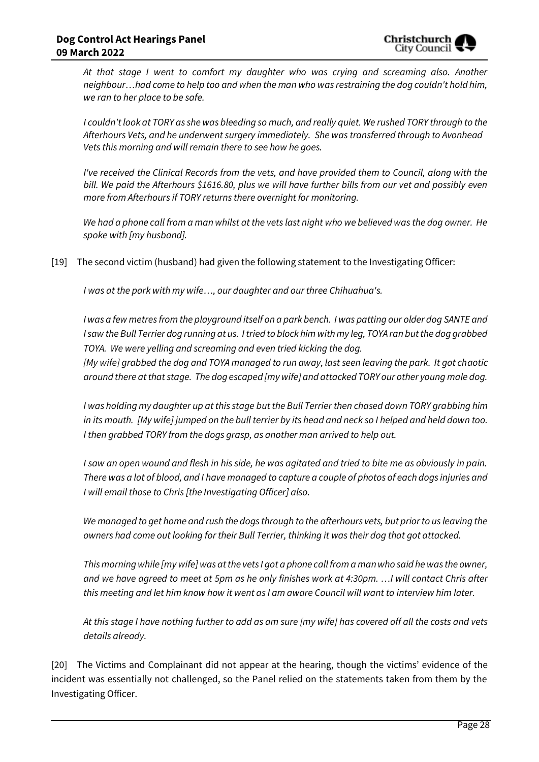*At that stage I went to comfort my daughter who was crying and screaming also. Another neighbour…had come to help too and when the man who was restraining the dog couldn't hold him, we ran to her place to be safe.*

*I couldn't look at TORY as she was bleeding so much, and really quiet. We rushed TORY through to the Afterhours Vets, and he underwent surgery immediately. She was transferred through to Avonhead Vets this morning and will remain there to see how he goes.*

*I've received the Clinical Records from the vets, and have provided them to Council, along with the bill. We paid the Afterhours \$1616.80, plus we will have further bills from our vet and possibly even more from Afterhours if TORY returns there overnight for monitoring.*

*We had a phone call from a man whilst at the vets last night who we believed was the dog owner. He spoke with [my husband].*

[19] The second victim (husband) had given the following statement to the Investigating Officer:

*I was at the park with my wife…, our daughter and our three Chihuahua's.*

*I was a few metres from the playground itself on a park bench. I was patting our older dog SANTE and I saw the Bull Terrier dog running at us. I tried to block him with my leg, TOYA ran but the dog grabbed TOYA. We were yelling and screaming and even tried kicking the dog.* 

*[My wife] grabbed the dog and TOYA managed to run away, last seen leaving the park. It got chaotic around there at that stage. The dog escaped [my wife] and attacked TORY our other young male dog.* 

*I was holding my daughter up at this stage but the Bull Terrier then chased down TORY grabbing him in its mouth. [My wife] jumped on the bull terrier by its head and neck so I helped and held down too. I then grabbed TORY from the dogs grasp, as another man arrived to help out.*

*I saw an open wound and flesh in his side, he was agitated and tried to bite me as obviously in pain. There was a lot of blood, and I have managed to capture a couple of photos of each dogs injuries and I will email those to Chris [the Investigating Officer] also.*

*We managed to get home and rush the dogs through to the afterhours vets, but prior to us leaving the owners had come out looking for their Bull Terrier, thinking it was their dog that got attacked.*

*This morning while [my wife] was at the vets I got a phone call from a man who said he was the owner, and we have agreed to meet at 5pm as he only finishes work at 4:30pm. …I will contact Chris after this meeting and let him know how it went as I am aware Council will want to interview him later.*

*At this stage I have nothing further to add as am sure [my wife] has covered off all the costs and vets details already.*

[20] The Victims and Complainant did not appear at the hearing, though the victims' evidence of the incident was essentially not challenged, so the Panel relied on the statements taken from them by the Investigating Officer.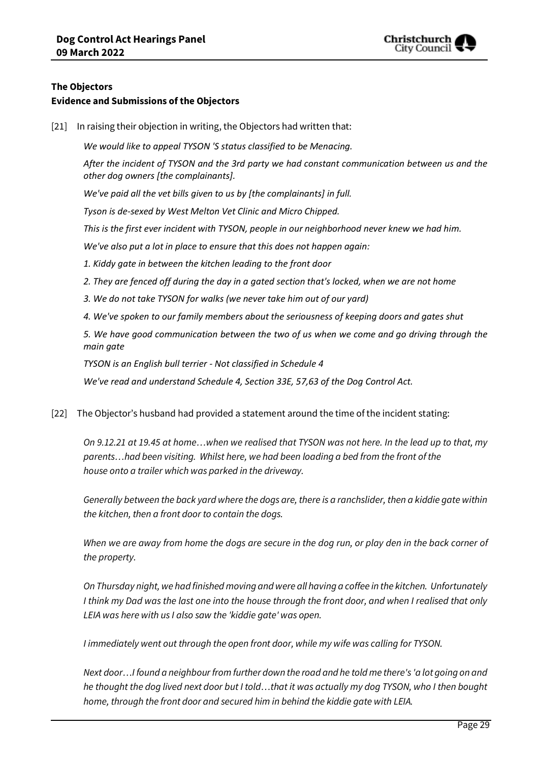

## **The Objectors**

## **Evidence and Submissions of the Objectors**

[21] In raising their objection in writing, the Objectors had written that:

*We would like to appeal TYSON 'S status classified to be Menacing.*

*After the incident of TYSON and the 3rd party we had constant communication between us and the other dog owners [the complainants].*

*We've paid all the vet bills given to us by [the complainants] in full.*

*Tyson is de-sexed by West Melton Vet Clinic and Micro Chipped.*

*This is the first ever incident with TYSON, people in our neighborhood never knew we had him.*

*We've also put a lot in place to ensure that this does not happen again:*

- *1. Kiddy gate in between the kitchen leading to the front door*
- *2. They are fenced off during the day in a gated section that's locked, when we are not home*
- *3. We do not take TYSON for walks (we never take him out of our yard)*
- *4. We've spoken to our family members about the seriousness of keeping doors and gates shut*

*5. We have good communication between the two of us when we come and go driving through the main gate*

*TYSON is an English bull terrier - Not classified in Schedule 4*

*We've read and understand Schedule 4, Section 33E, 57,63 of the Dog Control Act.*

[22] The Objector's husband had provided a statement around the time of the incident stating:

*On 9.12.21 at 19.45 at home…when we realised that TYSON was not here. In the lead up to that, my parents…had been visiting. Whilst here, we had been loading a bed from the front of the house onto a trailer which was parked in the driveway.*

*Generally between the back yard where the dogs are, there is a ranchslider, then a kiddie gate within the kitchen, then a front door to contain the dogs.*

*When we are away from home the dogs are secure in the dog run, or play den in the back corner of the property.*

*On Thursday night, we had finished moving and were all having a coffee in the kitchen. Unfortunately I think my Dad was the last one into the house through the front door, and when I realised that only LEIA was here with us I also saw the 'kiddie gate' was open.*

*I immediately went out through the open front door, while my wife was calling for TYSON.*

*Next door…I found a neighbour from further down the road and he told me there's 'a lot going on and he thought the dog lived next door but I told…that it was actually my dog TYSON, who I then bought home, through the front door and secured him in behind the kiddie gate with LEIA.*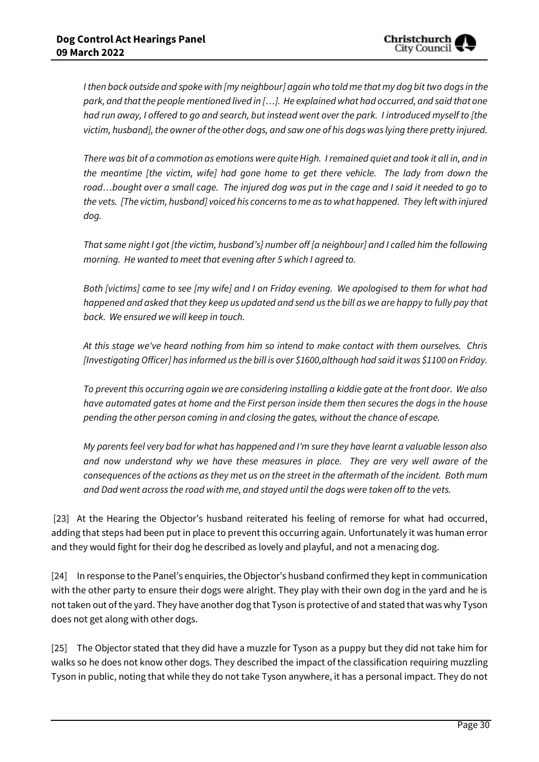*I then back outside and spoke with [my neighbour] again who told me that my dog bit two dogs in the park, and that the people mentioned lived in […]. He explained what had occurred, and said that one had run away, I offered to go and search, but instead went over the park. I introduced myself to [the victim, husband], the owner of the other dogs, and saw one of his dogs was lying there pretty injured.* 

*There was bit of a commotion as emotions were quite High. I remained quiet and took it all in, and in the meantime [the victim, wife] had gone home to get there vehicle. The lady from down the road…bought over a small cage. The injured dog was put in the cage and I said it needed to go to the vets. [The victim, husband] voiced his concerns to me as to what happened. They left with injured dog.*

*That same night I got [the victim, husband's] number off [a neighbour] and I called him the following morning. He wanted to meet that evening after 5 which I agreed to.*

*Both [victims] came to see [my wife] and I on Friday evening. We apologised to them for what had happened and asked that they keep us updated and send us the bill as we are happy to fully pay that back. We ensured we will keep in touch.*

*At this stage we've heard nothing from him so intend to make contact with them ourselves. Chris [Investigating Officer] has informed us the bill is over \$1600,although had said it was \$1100 on Friday.*

*To prevent this occurring again we are considering installing a kiddie gate at the front door. We also have automated gates at home and the First person inside them then secures the dogs in the house pending the other person coming in and closing the gates, without the chance of escape.*

*My parents feel very bad for what has happened and I'm sure they have learnt a valuable lesson also and now understand why we have these measures in place. They are very well aware of the consequences of the actions as they met us on the street in the aftermath of the incident. Both mum and Dad went across the road with me, and stayed until the dogs were taken off to the vets.*

[23] At the Hearing the Objector's husband reiterated his feeling of remorse for what had occurred, adding that steps had been put in place to prevent this occurring again. Unfortunately it was human error and they would fight for their dog he described as lovely and playful, and not a menacing dog.

[24] In response to the Panel's enquiries, the Objector's husband confirmed they kept in communication with the other party to ensure their dogs were alright. They play with their own dog in the yard and he is not taken out of the yard. They have another dog that Tyson is protective of and stated that was why Tyson does not get along with other dogs.

[25] The Objector stated that they did have a muzzle for Tyson as a puppy but they did not take him for walks so he does not know other dogs. They described the impact of the classification requiring muzzling Tyson in public, noting that while they do not take Tyson anywhere, it has a personal impact. They do not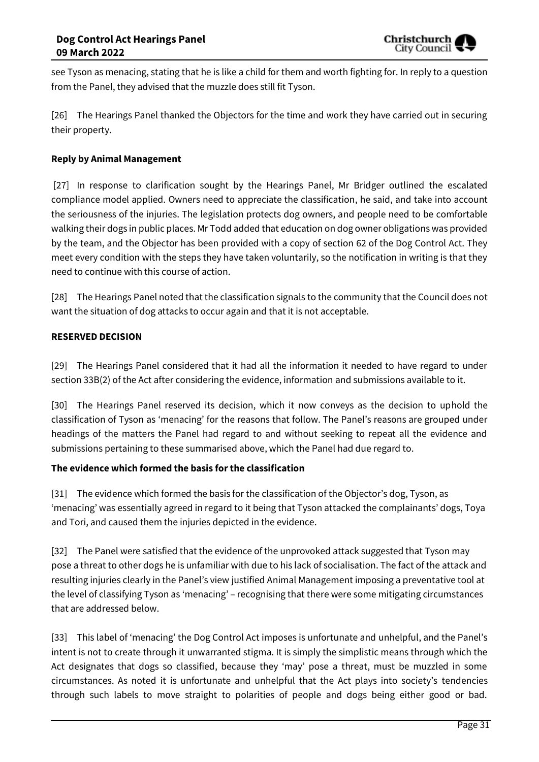see Tyson as menacing, stating that he is like a child for them and worth fighting for. In reply to a question from the Panel, they advised that the muzzle does still fit Tyson.

[26] The Hearings Panel thanked the Objectors for the time and work they have carried out in securing their property.

## **Reply by Animal Management**

[27] In response to clarification sought by the Hearings Panel, Mr Bridger outlined the escalated compliance model applied. Owners need to appreciate the classification, he said, and take into account the seriousness of the injuries. The legislation protects dog owners, and people need to be comfortable walking their dogs in public places. Mr Todd added that education on dog owner obligations was provided by the team, and the Objector has been provided with a copy of section 62 of the Dog Control Act. They meet every condition with the steps they have taken voluntarily, so the notification in writing is that they need to continue with this course of action.

[28] The Hearings Panel noted that the classification signals to the community that the Council does not want the situation of dog attacks to occur again and that it is not acceptable.

#### **RESERVED DECISION**

[29] The Hearings Panel considered that it had all the information it needed to have regard to under section 33B(2) of the Act after considering the evidence, information and submissions available to it.

[30] The Hearings Panel reserved its decision, which it now conveys as the decision to uphold the classification of Tyson as 'menacing' for the reasons that follow. The Panel's reasons are grouped under headings of the matters the Panel had regard to and without seeking to repeat all the evidence and submissions pertaining to these summarised above, which the Panel had due regard to.

## **The evidence which formed the basis for the classification**

[31] The evidence which formed the basis for the classification of the Objector's dog, Tyson, as 'menacing' was essentially agreed in regard to it being that Tyson attacked the complainants' dogs, Toya and Tori, and caused them the injuries depicted in the evidence.

[32] The Panel were satisfied that the evidence of the unprovoked attack suggested that Tyson may pose a threat to other dogs he is unfamiliar with due to his lack of socialisation. The fact of the attack and resulting injuries clearly in the Panel's view justified Animal Management imposing a preventative tool at the level of classifying Tyson as 'menacing' – recognising that there were some mitigating circumstances that are addressed below.

[33] This label of 'menacing' the Dog Control Act imposes is unfortunate and unhelpful, and the Panel's intent is not to create through it unwarranted stigma. It is simply the simplistic means through which the Act designates that dogs so classified, because they 'may' pose a threat, must be muzzled in some circumstances. As noted it is unfortunate and unhelpful that the Act plays into society's tendencies through such labels to move straight to polarities of people and dogs being either good or bad.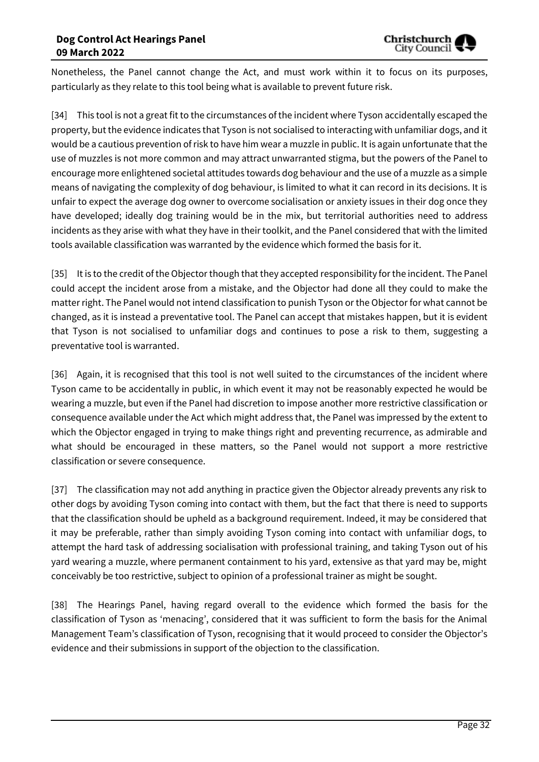Nonetheless, the Panel cannot change the Act, and must work within it to focus on its purposes, particularly as they relate to this tool being what is available to prevent future risk.

[34] This tool is not a great fit to the circumstances of the incident where Tyson accidentally escaped the property, but the evidence indicates that Tyson is not socialised to interacting with unfamiliar dogs, and it would be a cautious prevention of risk to have him wear a muzzle in public. It is again unfortunate that the use of muzzles is not more common and may attract unwarranted stigma, but the powers of the Panel to encourage more enlightened societal attitudes towards dog behaviour and the use of a muzzle as a simple means of navigating the complexity of dog behaviour, is limited to what it can record in its decisions. It is unfair to expect the average dog owner to overcome socialisation or anxiety issues in their dog once they have developed; ideally dog training would be in the mix, but territorial authorities need to address incidents as they arise with what they have in their toolkit, and the Panel considered that with the limited tools available classification was warranted by the evidence which formed the basis for it.

[35] It is to the credit of the Objector though that they accepted responsibility for the incident. The Panel could accept the incident arose from a mistake, and the Objector had done all they could to make the matter right. The Panel would not intend classification to punish Tyson or the Objector for what cannot be changed, as it is instead a preventative tool. The Panel can accept that mistakes happen, but it is evident that Tyson is not socialised to unfamiliar dogs and continues to pose a risk to them, suggesting a preventative tool is warranted.

[36] Again, it is recognised that this tool is not well suited to the circumstances of the incident where Tyson came to be accidentally in public, in which event it may not be reasonably expected he would be wearing a muzzle, but even if the Panel had discretion to impose another more restrictive classification or consequence available under the Act which might address that, the Panel was impressed by the extent to which the Objector engaged in trying to make things right and preventing recurrence, as admirable and what should be encouraged in these matters, so the Panel would not support a more restrictive classification or severe consequence.

[37] The classification may not add anything in practice given the Objector already prevents any risk to other dogs by avoiding Tyson coming into contact with them, but the fact that there is need to supports that the classification should be upheld as a background requirement. Indeed, it may be considered that it may be preferable, rather than simply avoiding Tyson coming into contact with unfamiliar dogs, to attempt the hard task of addressing socialisation with professional training, and taking Tyson out of his yard wearing a muzzle, where permanent containment to his yard, extensive as that yard may be, might conceivably be too restrictive, subject to opinion of a professional trainer as might be sought.

[38] The Hearings Panel, having regard overall to the evidence which formed the basis for the classification of Tyson as 'menacing', considered that it was sufficient to form the basis for the Animal Management Team's classification of Tyson, recognising that it would proceed to consider the Objector's evidence and their submissions in support of the objection to the classification.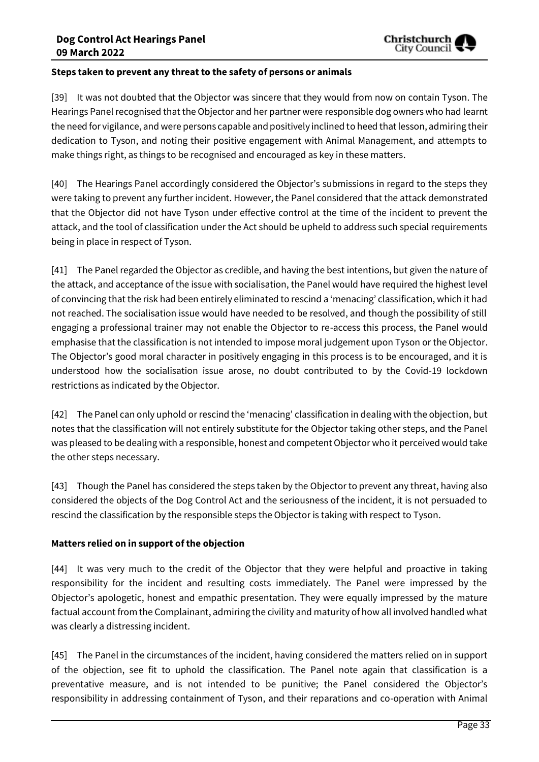#### **Steps taken to prevent any threat to the safety of persons or animals**

[39] It was not doubted that the Objector was sincere that they would from now on contain Tyson. The Hearings Panel recognised that the Objector and her partner were responsible dog owners who had learnt the need for vigilance, and were persons capable and positively inclined to heed that lesson, admiring their dedication to Tyson, and noting their positive engagement with Animal Management, and attempts to make things right, as things to be recognised and encouraged as key in these matters.

[40] The Hearings Panel accordingly considered the Objector's submissions in regard to the steps they were taking to prevent any further incident. However, the Panel considered that the attack demonstrated that the Objector did not have Tyson under effective control at the time of the incident to prevent the attack, and the tool of classification under the Act should be upheld to address such special requirements being in place in respect of Tyson.

[41] The Panel regarded the Objector as credible, and having the best intentions, but given the nature of the attack, and acceptance of the issue with socialisation, the Panel would have required the highest level of convincing that the risk had been entirely eliminated to rescind a 'menacing' classification, which it had not reached. The socialisation issue would have needed to be resolved, and though the possibility of still engaging a professional trainer may not enable the Objector to re-access this process, the Panel would emphasise that the classification is not intended to impose moral judgement upon Tyson or the Objector. The Objector's good moral character in positively engaging in this process is to be encouraged, and it is understood how the socialisation issue arose, no doubt contributed to by the Covid-19 lockdown restrictions as indicated by the Objector.

[42] The Panel can only uphold or rescind the 'menacing' classification in dealing with the objection, but notes that the classification will not entirely substitute for the Objector taking other steps, and the Panel was pleased to be dealing with a responsible, honest and competent Objector who it perceived would take the other steps necessary.

[43] Though the Panel has considered the steps taken by the Objector to prevent any threat, having also considered the objects of the Dog Control Act and the seriousness of the incident, it is not persuaded to rescind the classification by the responsible steps the Objector is taking with respect to Tyson.

#### **Matters relied on in support of the objection**

[44] It was very much to the credit of the Objector that they were helpful and proactive in taking responsibility for the incident and resulting costs immediately. The Panel were impressed by the Objector's apologetic, honest and empathic presentation. They were equally impressed by the mature factual account from the Complainant, admiring the civility and maturity of how all involved handled what was clearly a distressing incident.

[45] The Panel in the circumstances of the incident, having considered the matters relied on in support of the objection, see fit to uphold the classification. The Panel note again that classification is a preventative measure, and is not intended to be punitive; the Panel considered the Objector's responsibility in addressing containment of Tyson, and their reparations and co-operation with Animal